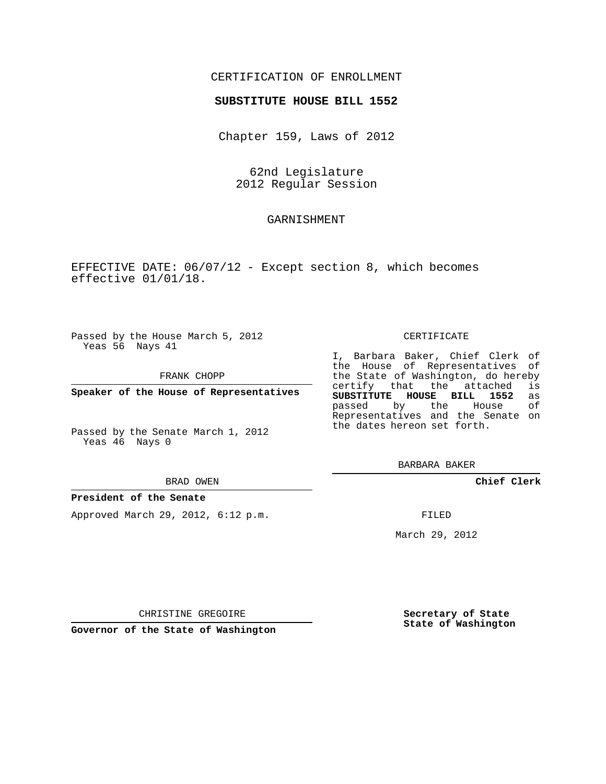### CERTIFICATION OF ENROLLMENT

#### **SUBSTITUTE HOUSE BILL 1552**

Chapter 159, Laws of 2012

62nd Legislature 2012 Regular Session

## GARNISHMENT

EFFECTIVE DATE: 06/07/12 - Except section 8, which becomes effective 01/01/18.

Passed by the House March 5, 2012 Yeas 56 Nays 41

FRANK CHOPP

**Speaker of the House of Representatives**

Passed by the Senate March 1, 2012 Yeas 46 Nays 0

#### BRAD OWEN

#### **President of the Senate**

Approved March 29, 2012, 6:12 p.m.

#### CERTIFICATE

I, Barbara Baker, Chief Clerk of the House of Representatives of the State of Washington, do hereby<br>certify that the attached is certify that the attached is<br>**SUBSTITUTE HOUSE BILL 1552** as **SUBSTITUTE HOUSE BILL 1552** as passed by the House Representatives and the Senate on the dates hereon set forth.

BARBARA BAKER

**Chief Clerk**

FILED

March 29, 2012

CHRISTINE GREGOIRE

**Governor of the State of Washington**

**Secretary of State State of Washington**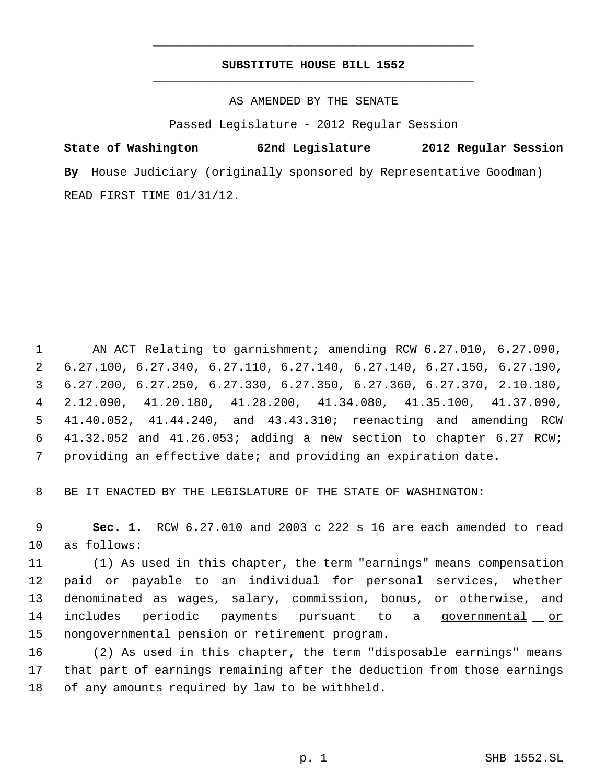## **SUBSTITUTE HOUSE BILL 1552** \_\_\_\_\_\_\_\_\_\_\_\_\_\_\_\_\_\_\_\_\_\_\_\_\_\_\_\_\_\_\_\_\_\_\_\_\_\_\_\_\_\_\_\_\_

\_\_\_\_\_\_\_\_\_\_\_\_\_\_\_\_\_\_\_\_\_\_\_\_\_\_\_\_\_\_\_\_\_\_\_\_\_\_\_\_\_\_\_\_\_

AS AMENDED BY THE SENATE

Passed Legislature - 2012 Regular Session

**State of Washington 62nd Legislature 2012 Regular Session By** House Judiciary (originally sponsored by Representative Goodman) READ FIRST TIME 01/31/12.

 AN ACT Relating to garnishment; amending RCW 6.27.010, 6.27.090, 6.27.100, 6.27.340, 6.27.110, 6.27.140, 6.27.140, 6.27.150, 6.27.190, 6.27.200, 6.27.250, 6.27.330, 6.27.350, 6.27.360, 6.27.370, 2.10.180, 2.12.090, 41.20.180, 41.28.200, 41.34.080, 41.35.100, 41.37.090, 41.40.052, 41.44.240, and 43.43.310; reenacting and amending RCW 41.32.052 and 41.26.053; adding a new section to chapter 6.27 RCW; providing an effective date; and providing an expiration date.

BE IT ENACTED BY THE LEGISLATURE OF THE STATE OF WASHINGTON:

 **Sec. 1.** RCW 6.27.010 and 2003 c 222 s 16 are each amended to read as follows:

 (1) As used in this chapter, the term "earnings" means compensation paid or payable to an individual for personal services, whether denominated as wages, salary, commission, bonus, or otherwise, and 14 includes periodic payments pursuant to a governmental or nongovernmental pension or retirement program.

 (2) As used in this chapter, the term "disposable earnings" means that part of earnings remaining after the deduction from those earnings of any amounts required by law to be withheld.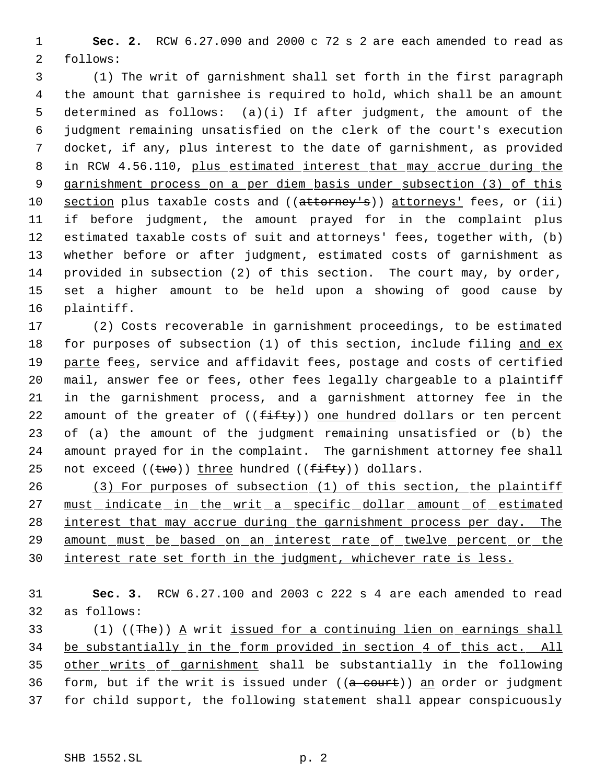**Sec. 2.** RCW 6.27.090 and 2000 c 72 s 2 are each amended to read as follows:

 (1) The writ of garnishment shall set forth in the first paragraph the amount that garnishee is required to hold, which shall be an amount determined as follows: (a)(i) If after judgment, the amount of the judgment remaining unsatisfied on the clerk of the court's execution docket, if any, plus interest to the date of garnishment, as provided 8 in RCW 4.56.110, plus estimated interest that may accrue during the garnishment process on a per diem basis under subsection (3) of this 10 section plus taxable costs and ((attorney's)) attorneys' fees, or (ii) if before judgment, the amount prayed for in the complaint plus estimated taxable costs of suit and attorneys' fees, together with, (b) whether before or after judgment, estimated costs of garnishment as provided in subsection (2) of this section. The court may, by order, set a higher amount to be held upon a showing of good cause by plaintiff.

 (2) Costs recoverable in garnishment proceedings, to be estimated 18 for purposes of subsection (1) of this section, include filing and ex 19 parte fees, service and affidavit fees, postage and costs of certified mail, answer fee or fees, other fees legally chargeable to a plaintiff in the garnishment process, and a garnishment attorney fee in the 22 amount of the greater of  $((fiff+y))$  one hundred dollars or ten percent of (a) the amount of the judgment remaining unsatisfied or (b) the amount prayed for in the complaint. The garnishment attorney fee shall 25 not exceed  $((two))$  three hundred  $((fiffty))$  dollars.

 (3) For purposes of subsection (1) of this section, the plaintiff 27 must indicate in the writ a specific dollar amount of estimated 28 interest that may accrue during the garnishment process per day. The amount must be based on an interest rate of twelve percent or the 30 interest rate set forth in the judgment, whichever rate is less.

 **Sec. 3.** RCW 6.27.100 and 2003 c 222 s 4 are each amended to read as follows:

 $(1)$  ((The)) A writ issued for a continuing lien on earnings shall be substantially in the form provided in section 4 of this act. All other writs of garnishment shall be substantially in the following 36 form, but if the writ is issued under  $((a - c)$ <sub>t</sub>) an order or judgment for child support, the following statement shall appear conspicuously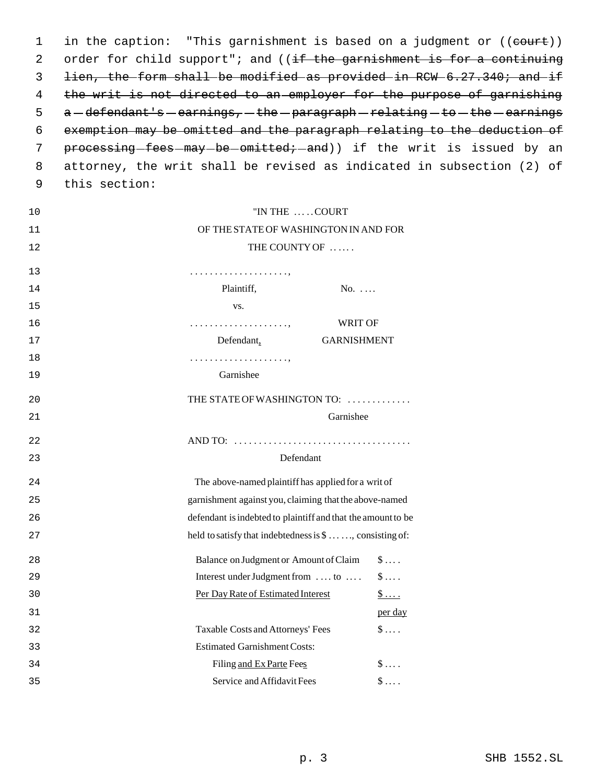1 in the caption: "This garnishment is based on a judgment or ((court)) 2 order for child support"; and ((if the garnishment is for a continuing lien, the form shall be modified as provided in RCW 6.27.340; and if the writ is not directed to an employer for the purpose of garnishing a -defendant's -earnings, -the -paragraph -relating -to -the -earnings exemption may be omitted and the paragraph relating to the deduction of 7 processing-fees-may-be-omitted;-and)) if the writ is issued by an attorney, the writ shall be revised as indicated in subsection (2) of this section:

| 10 | "IN THE  COURT                                                      |                    |                       |
|----|---------------------------------------------------------------------|--------------------|-----------------------|
| 11 | OF THE STATE OF WASHINGTON IN AND FOR                               |                    |                       |
| 12 | THE COUNTY OF                                                       |                    |                       |
| 13 |                                                                     |                    |                       |
| 14 | Plaintiff,                                                          | $No. \ldots$       |                       |
| 15 | VS.                                                                 |                    |                       |
| 16 |                                                                     | WRIT OF            |                       |
| 17 | Defendant,                                                          | <b>GARNISHMENT</b> |                       |
| 18 |                                                                     |                    |                       |
| 19 | Garnishee                                                           |                    |                       |
| 20 | THE STATE OF WASHINGTON TO:                                         |                    |                       |
| 21 |                                                                     | Garnishee          |                       |
| 22 |                                                                     |                    |                       |
| 23 | Defendant                                                           |                    |                       |
| 24 | The above-named plaintiff has applied for a writ of                 |                    |                       |
| 25 | garnishment against you, claiming that the above-named              |                    |                       |
| 26 | defendant is indebted to plaintiff and that the amount to be        |                    |                       |
| 27 | held to satisfy that indebtedness is $\mathcal{S}$ , consisting of: |                    |                       |
| 28 | Balance on Judgment or Amount of Claim                              |                    | $\mathsf{\$}\ldots$ . |
| 29 | Interest under Judgment from  to                                    |                    | $\$\ldots$ .          |
| 30 | Per Day Rate of Estimated Interest                                  |                    | $\frac{1}{2}$         |
|    |                                                                     |                    |                       |
| 31 |                                                                     |                    | per day               |
| 32 | Taxable Costs and Attorneys' Fees                                   |                    | $\$\ldots$ .          |
| 33 | <b>Estimated Garnishment Costs:</b>                                 |                    |                       |
| 34 | Filing and Ex Parte Fees                                            |                    | $\$\ldots$ .          |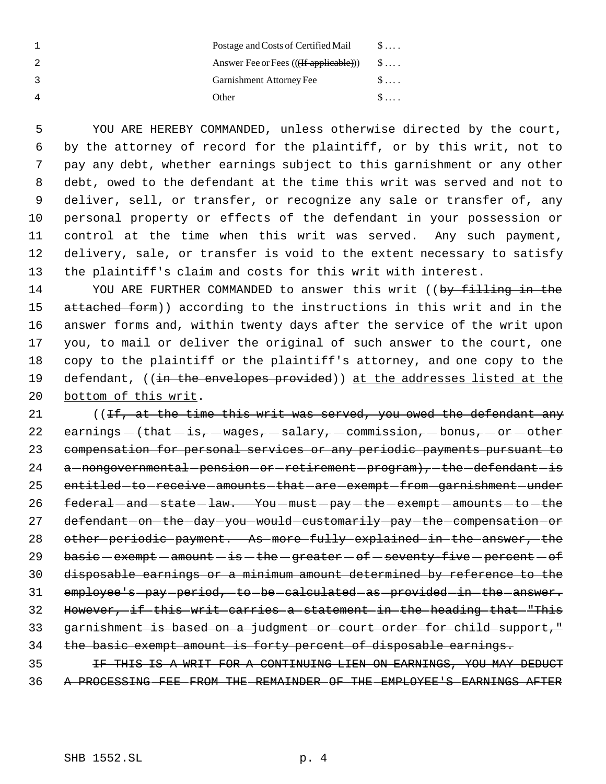| Postage and Costs of Certified Mail    | $S \ldots$   |
|----------------------------------------|--------------|
| Answer Fee or Fees (((If applicable))) | $\mathbb{S}$ |
| Garnishment Attorney Fee               | $S \ldots$   |
| Other                                  |              |

 YOU ARE HEREBY COMMANDED, unless otherwise directed by the court, by the attorney of record for the plaintiff, or by this writ, not to pay any debt, whether earnings subject to this garnishment or any other debt, owed to the defendant at the time this writ was served and not to deliver, sell, or transfer, or recognize any sale or transfer of, any personal property or effects of the defendant in your possession or control at the time when this writ was served. Any such payment, delivery, sale, or transfer is void to the extent necessary to satisfy the plaintiff's claim and costs for this writ with interest.

14 YOU ARE FURTHER COMMANDED to answer this writ ((by filling in the attached form)) according to the instructions in this writ and in the answer forms and, within twenty days after the service of the writ upon you, to mail or deliver the original of such answer to the court, one copy to the plaintiff or the plaintiff's attorney, and one copy to the 19 defendant, ((in the envelopes provided)) at the addresses listed at the bottom of this writ.

21 ((If, at the time this writ was served, you owed the defendant any 22 earnings  $-\t{that - is}$ ,  $-wages$ ,  $-salary$ ,  $-commission$ ,  $-bonus$ ,  $-or - other$  compensation for personal services or any periodic payments pursuant to 24 a -nongovernmental -pension -or -retirement -program), -the -defendant -is 25 entitled to receive amounts that are exempt from garnishment under 26 federal - and - state - law. You - must - pay - the - exempt - amounts - to - the 27 defendant on the day you would customarily pay the compensation or other periodic payment. As more fully explained in the answer, the basic  $-$  exempt  $-$  amount  $-$  is  $-$  the  $-$  greater  $-$  of  $-$  seventy-five  $-$  percent  $-$  of disposable earnings or a minimum amount determined by reference to the 31 employee's pay period, to be calculated as provided in the answer. However, if this writ carries a statement in the heading that "This garnishment is based on a judgment or court order for child support," 34 the basic exempt amount is forty percent of disposable earnings.

 IF THIS IS A WRIT FOR A CONTINUING LIEN ON EARNINGS, YOU MAY DEDUCT A PROCESSING FEE FROM THE REMAINDER OF THE EMPLOYEE'S EARNINGS AFTER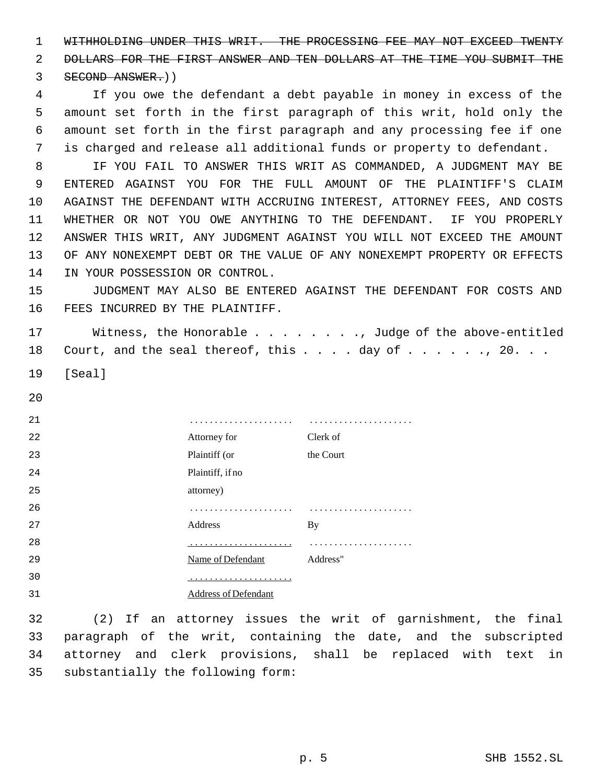WITHHOLDING UNDER THIS WRIT. THE PROCESSING FEE MAY NOT EXCEED TWENTY DOLLARS FOR THE FIRST ANSWER AND TEN DOLLARS AT THE TIME YOU SUBMIT THE

SECOND ANSWER.))

 If you owe the defendant a debt payable in money in excess of the amount set forth in the first paragraph of this writ, hold only the amount set forth in the first paragraph and any processing fee if one is charged and release all additional funds or property to defendant.

 IF YOU FAIL TO ANSWER THIS WRIT AS COMMANDED, A JUDGMENT MAY BE ENTERED AGAINST YOU FOR THE FULL AMOUNT OF THE PLAINTIFF'S CLAIM AGAINST THE DEFENDANT WITH ACCRUING INTEREST, ATTORNEY FEES, AND COSTS WHETHER OR NOT YOU OWE ANYTHING TO THE DEFENDANT. IF YOU PROPERLY ANSWER THIS WRIT, ANY JUDGMENT AGAINST YOU WILL NOT EXCEED THE AMOUNT OF ANY NONEXEMPT DEBT OR THE VALUE OF ANY NONEXEMPT PROPERTY OR EFFECTS IN YOUR POSSESSION OR CONTROL.

 JUDGMENT MAY ALSO BE ENTERED AGAINST THE DEFENDANT FOR COSTS AND FEES INCURRED BY THE PLAINTIFF.

 Witness, the Honorable . . . . . . . ., Judge of the above-entitled 18 Court, and the seal thereof, this . . . day of . . . . . ., 20. . .

[Seal]

| 21 |                      | .         |
|----|----------------------|-----------|
| 22 | Attorney for         | Clerk of  |
| 23 | Plaintiff (or        | the Court |
| 24 | Plaintiff, if no     |           |
| 25 | attorney)            |           |
| 26 |                      |           |
| 27 | Address              | By        |
| 28 |                      |           |
| 29 | Name of Defendant    | Address"  |
| 30 |                      |           |
| 31 | Address of Defendant |           |

 (2) If an attorney issues the writ of garnishment, the final paragraph of the writ, containing the date, and the subscripted attorney and clerk provisions, shall be replaced with text in substantially the following form: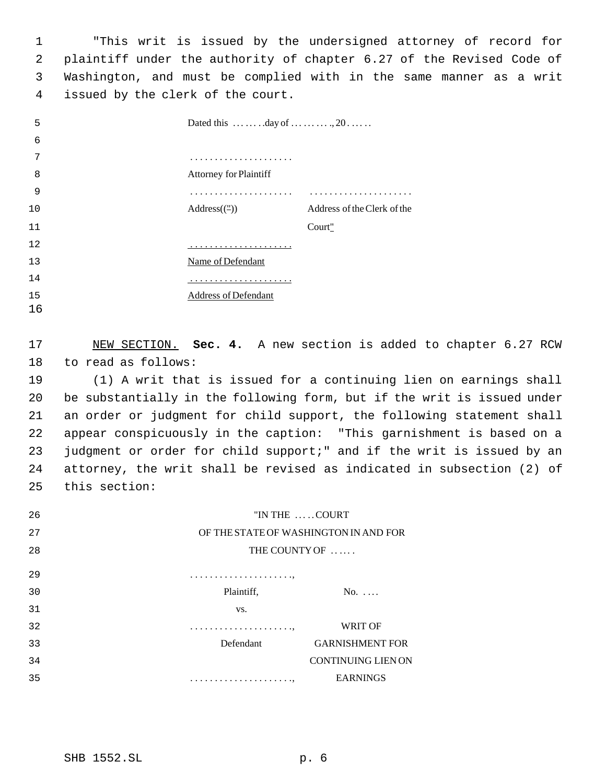"This writ is issued by the undersigned attorney of record for plaintiff under the authority of chapter 6.27 of the Revised Code of Washington, and must be complied with in the same manner as a writ issued by the clerk of the court.

| 5  | Dated this $\dots \dots \dots \dots$ day of $\dots \dots \dots \dots$ |                             |
|----|-----------------------------------------------------------------------|-----------------------------|
| 6  |                                                                       |                             |
| 7  | .                                                                     |                             |
| 8  | <b>Attorney for Plaintiff</b>                                         |                             |
| 9  |                                                                       |                             |
| 10 | $Address(\rightharpoonup)$                                            | Address of the Clerk of the |
| 11 |                                                                       | Court"                      |
| 12 |                                                                       |                             |
| 13 | Name of Defendant                                                     |                             |
| 14 |                                                                       |                             |
| 15 | Address of Defendant                                                  |                             |

 NEW SECTION. **Sec. 4.** A new section is added to chapter 6.27 RCW to read as follows:

 (1) A writ that is issued for a continuing lien on earnings shall be substantially in the following form, but if the writ is issued under an order or judgment for child support, the following statement shall appear conspicuously in the caption: "This garnishment is based on a judgment or order for child support;" and if the writ is issued by an attorney, the writ shall be revised as indicated in subsection (2) of this section:

| 26 | "IN THE COURT                         |                           |
|----|---------------------------------------|---------------------------|
| 27 | OF THE STATE OF WASHINGTON IN AND FOR |                           |
| 28 | THE COUNTY OF                         |                           |
| 29 |                                       |                           |
| 30 | Plaintiff,                            | $No. \ldots$              |
| 31 | VS.                                   |                           |
| 32 |                                       | <b>WRIT OF</b>            |
| 33 | Defendant                             | <b>GARNISHMENT FOR</b>    |
| 34 |                                       | <b>CONTINUING LIEN ON</b> |
| 35 |                                       | <b>EARNINGS</b>           |
|    |                                       |                           |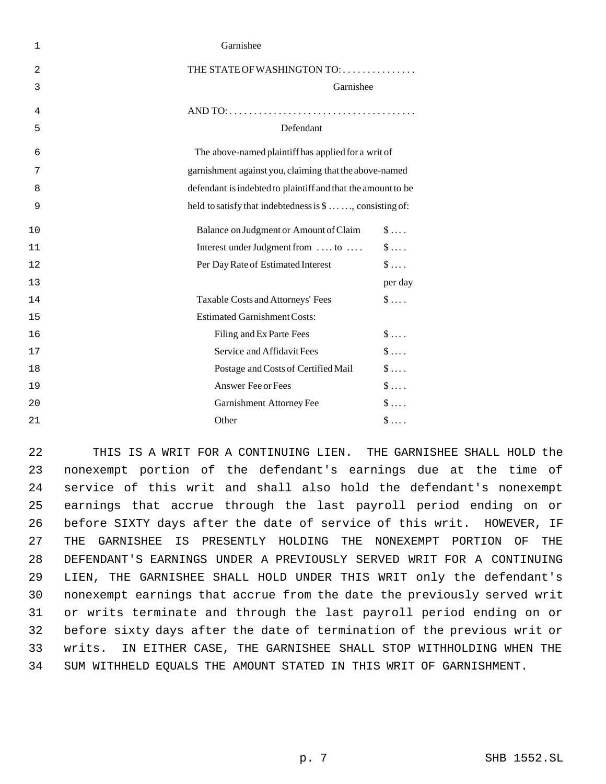| $\mathbf{1}$   | Garnishee                                                    |  |
|----------------|--------------------------------------------------------------|--|
| $\overline{2}$ | THE STATE OF WASHINGTON TO:                                  |  |
| 3              | Garnishee                                                    |  |
| 4              |                                                              |  |
| 5              | Defendant                                                    |  |
| 6              | The above-named plaintiff has applied for a writ of          |  |
| 7              | garnishment against you, claiming that the above-named       |  |
| 8              | defendant is indebted to plaintiff and that the amount to be |  |
| 9              | held to satisfy that indebtedness is \$ , consisting of:     |  |
| 10             | $\$\ldots$ .<br>Balance on Judgment or Amount of Claim       |  |
| 11             | $\$\ldots$ .<br>Interest under Judgment from  to             |  |
| 12             | $\mathsf{\$}\ldots$ .<br>Per Day Rate of Estimated Interest  |  |
| 13             | per day                                                      |  |
| 14             | $\$\ldots$ .<br>Taxable Costs and Attorneys' Fees            |  |
| 15             | <b>Estimated Garnishment Costs:</b>                          |  |
| 16             | $\$\ldots$ .<br>Filing and Ex Parte Fees                     |  |
| 17             | $\$\ldots$ .<br>Service and Affidavit Fees                   |  |
| 18             | $\$\ldots$ .<br>Postage and Costs of Certified Mail          |  |
| 19             | $\mathsf{\$}\dots$<br>Answer Fee or Fees                     |  |
| 20             | $\$\ldots$ .<br>Garnishment Attorney Fee                     |  |
| 21             | Other<br>$\mathbb{S}$                                        |  |
|                |                                                              |  |

 THIS IS A WRIT FOR A CONTINUING LIEN. THE GARNISHEE SHALL HOLD the nonexempt portion of the defendant's earnings due at the time of service of this writ and shall also hold the defendant's nonexempt earnings that accrue through the last payroll period ending on or before SIXTY days after the date of service of this writ. HOWEVER, IF THE GARNISHEE IS PRESENTLY HOLDING THE NONEXEMPT PORTION OF THE DEFENDANT'S EARNINGS UNDER A PREVIOUSLY SERVED WRIT FOR A CONTINUING LIEN, THE GARNISHEE SHALL HOLD UNDER THIS WRIT only the defendant's nonexempt earnings that accrue from the date the previously served writ or writs terminate and through the last payroll period ending on or before sixty days after the date of termination of the previous writ or writs. IN EITHER CASE, THE GARNISHEE SHALL STOP WITHHOLDING WHEN THE SUM WITHHELD EQUALS THE AMOUNT STATED IN THIS WRIT OF GARNISHMENT.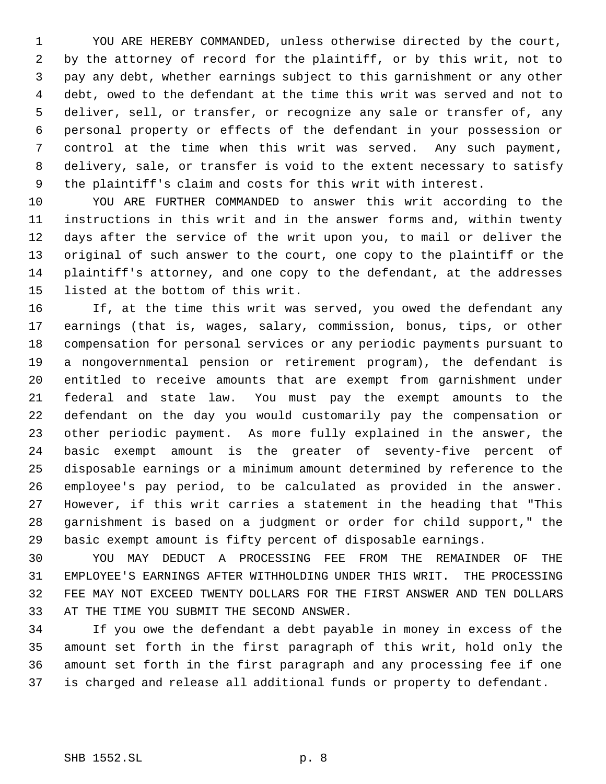YOU ARE HEREBY COMMANDED, unless otherwise directed by the court, by the attorney of record for the plaintiff, or by this writ, not to pay any debt, whether earnings subject to this garnishment or any other debt, owed to the defendant at the time this writ was served and not to deliver, sell, or transfer, or recognize any sale or transfer of, any personal property or effects of the defendant in your possession or control at the time when this writ was served. Any such payment, delivery, sale, or transfer is void to the extent necessary to satisfy the plaintiff's claim and costs for this writ with interest.

 YOU ARE FURTHER COMMANDED to answer this writ according to the instructions in this writ and in the answer forms and, within twenty days after the service of the writ upon you, to mail or deliver the original of such answer to the court, one copy to the plaintiff or the plaintiff's attorney, and one copy to the defendant, at the addresses listed at the bottom of this writ.

 If, at the time this writ was served, you owed the defendant any earnings (that is, wages, salary, commission, bonus, tips, or other compensation for personal services or any periodic payments pursuant to a nongovernmental pension or retirement program), the defendant is entitled to receive amounts that are exempt from garnishment under federal and state law. You must pay the exempt amounts to the defendant on the day you would customarily pay the compensation or other periodic payment. As more fully explained in the answer, the basic exempt amount is the greater of seventy-five percent of disposable earnings or a minimum amount determined by reference to the employee's pay period, to be calculated as provided in the answer. However, if this writ carries a statement in the heading that "This garnishment is based on a judgment or order for child support," the basic exempt amount is fifty percent of disposable earnings.

 YOU MAY DEDUCT A PROCESSING FEE FROM THE REMAINDER OF THE EMPLOYEE'S EARNINGS AFTER WITHHOLDING UNDER THIS WRIT. THE PROCESSING FEE MAY NOT EXCEED TWENTY DOLLARS FOR THE FIRST ANSWER AND TEN DOLLARS AT THE TIME YOU SUBMIT THE SECOND ANSWER.

 If you owe the defendant a debt payable in money in excess of the amount set forth in the first paragraph of this writ, hold only the amount set forth in the first paragraph and any processing fee if one is charged and release all additional funds or property to defendant.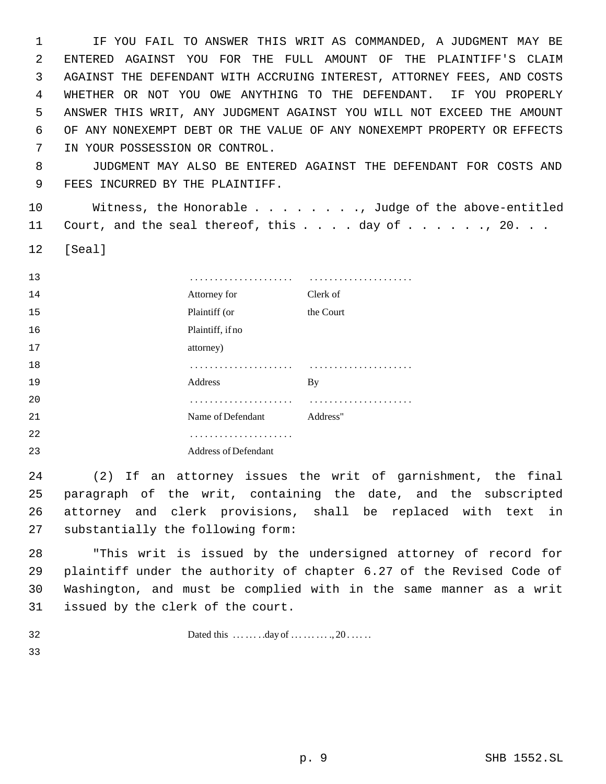IF YOU FAIL TO ANSWER THIS WRIT AS COMMANDED, A JUDGMENT MAY BE ENTERED AGAINST YOU FOR THE FULL AMOUNT OF THE PLAINTIFF'S CLAIM AGAINST THE DEFENDANT WITH ACCRUING INTEREST, ATTORNEY FEES, AND COSTS WHETHER OR NOT YOU OWE ANYTHING TO THE DEFENDANT. IF YOU PROPERLY ANSWER THIS WRIT, ANY JUDGMENT AGAINST YOU WILL NOT EXCEED THE AMOUNT OF ANY NONEXEMPT DEBT OR THE VALUE OF ANY NONEXEMPT PROPERTY OR EFFECTS IN YOUR POSSESSION OR CONTROL.

 JUDGMENT MAY ALSO BE ENTERED AGAINST THE DEFENDANT FOR COSTS AND FEES INCURRED BY THE PLAINTIFF.

 Witness, the Honorable . . . . . . . ., Judge of the above-entitled 11 Court, and the seal thereof, this . . . . day of . . . . . . , 20. . .

[Seal]

| 13 |                             |           |
|----|-----------------------------|-----------|
| 14 | Attorney for                | Clerk of  |
| 15 | Plaintiff (or               | the Court |
| 16 | Plaintiff, if no            |           |
| 17 | attorney)                   |           |
| 18 |                             |           |
| 19 | Address                     | By        |
| 20 |                             |           |
| 21 | Name of Defendant           | Address"  |
| 22 |                             |           |
| 23 | <b>Address of Defendant</b> |           |

 (2) If an attorney issues the writ of garnishment, the final paragraph of the writ, containing the date, and the subscripted attorney and clerk provisions, shall be replaced with text in substantially the following form:

 "This writ is issued by the undersigned attorney of record for plaintiff under the authority of chapter 6.27 of the Revised Code of Washington, and must be complied with in the same manner as a writ issued by the clerk of the court.

Dated this  $\dots \dots \dots \dots \dots \dots \dots \dots \dots 20 \dots \dots$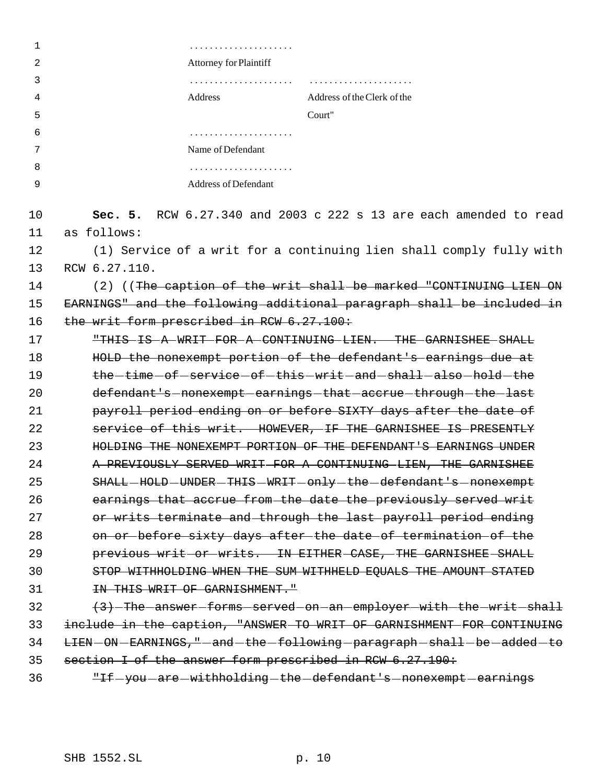| 1  |                                                          |                                                                       |
|----|----------------------------------------------------------|-----------------------------------------------------------------------|
| 2  | Attorney for Plaintiff                                   |                                                                       |
| 3  |                                                          |                                                                       |
| 4  | Address                                                  | Address of the Clerk of the                                           |
| 5  |                                                          | Court"                                                                |
| 6  | .                                                        |                                                                       |
| 7  | Name of Defendant                                        |                                                                       |
| 8  |                                                          |                                                                       |
| 9  | Address of Defendant                                     |                                                                       |
| 10 |                                                          | Sec. 5. RCW $6.27.340$ and 2003 c 222 s 13 are each amended to read   |
| 11 | as follows:                                              |                                                                       |
| 12 |                                                          | (1) Service of a writ for a continuing lien shall comply fully with   |
| 13 | RCW 6.27.110.                                            |                                                                       |
| 14 |                                                          | (2) ((The caption of the writ shall-be marked "CONTINUING LIEN ON     |
| 15 |                                                          | EARNINGS" and the following additional paragraph shall be included in |
| 16 | the writ form prescribed in RCW 6.27.100:                |                                                                       |
| 17 |                                                          | "THIS IS A WRIT FOR A CONTINUING LIEN. THE GARNISHEE SHALL            |
| 18 |                                                          | HOLD the nonexempt portion of the defendant's earnings due at         |
| 19 |                                                          | the-time-of-service-of-this-writ-and-shall-also-hold-the              |
| 20 |                                                          | defendant's-nonexempt-earnings-that-accrue-through-the-last           |
| 21 |                                                          | payroll period ending on or before SIXTY days after the date of       |
| 22 |                                                          | service of this writ. HOWEVER, IF THE GARNISHEE IS PRESENTLY          |
| 23 |                                                          | HOLDING THE NONEXEMPT PORTION OF THE DEFENDANT'S EARNINGS UNDER       |
| 24 |                                                          | A PREVIOUSLY SERVED WRIT FOR A CONTINUING LIEN, THE GARNISHEE         |
| 25 |                                                          | SHALL-HOLD-UNDER-THIS-WRIT-only-the-defendant's-nonexempt             |
| 26 |                                                          | earnings that accrue from the date the previously served writ         |
| 27 |                                                          | or writs terminate and through the last payroll period ending         |
| 28 |                                                          | on or before sixty days after the date of termination of the          |
| 29 |                                                          | previous writ or writs. IN EITHER CASE, THE GARNISHEE SHALL           |
| 30 |                                                          | STOP WITHHOLDING WHEN THE SUM WITHHELD EQUALS THE AMOUNT STATED       |
| 31 | IN THIS WRIT OF GARNISHMENT."                            |                                                                       |
| 32 |                                                          | (3) The answer forms served on an employer with the writ shall        |
| 33 |                                                          | include in the caption, "ANSWER TO WRIT OF GARNISHMENT FOR CONTINUING |
| 34 |                                                          | LIEN-ON-EARNINGS, "-and-the-following-paragraph-shall-be-added-to     |
| 35 | section I of the answer form prescribed in RCW 6.27.190: |                                                                       |

36 "If-you-are-withholding-the-defendant's nonexempt-earnings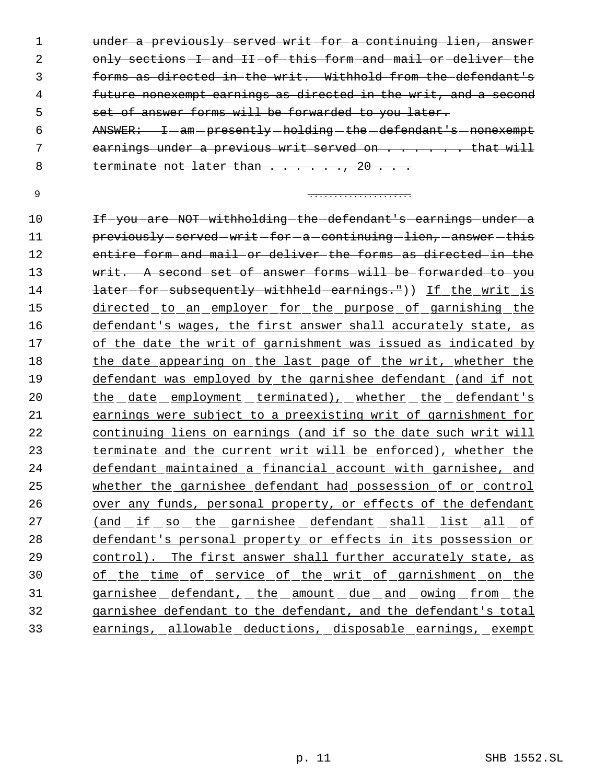1 under a previously served writ for a continuing lien, answer 2 only sections I and II of this form and mail or deliver the forms as directed in the writ. Withhold from the defendant's future nonexempt earnings as directed in the writ, and a second set of answer forms will be forwarded to you later.

- 6 ANSWER: I-am-presently-holding-the-defendant's-nonexempt 7 earnings under a previous writ served on . . . . . . that will 8 terminate not later than . . . . . . 20 . . .
- 

. . . . . . . . . . . . . . . . . . . . .

10 If you are NOT withholding the defendant's earnings under a 11 previously served writ for a continuing lien, answer this entire form and mail or deliver the forms as directed in the 13 writ. A second set of answer forms will be forwarded to you **later-for-subsequently-withheld earnings.**")) If the writ is directed to an employer for the purpose of garnishing the defendant's wages, the first answer shall accurately state, as of the date the writ of garnishment was issued as indicated by 18 the date appearing on the last page of the writ, whether the defendant was employed by the garnishee defendant (and if not 20 the date employment terminated), whether the defendant's earnings were subject to a preexisting writ of garnishment for continuing liens on earnings (and if so the date such writ will terminate and the current writ will be enforced), whether the defendant maintained a financial account with garnishee, and whether the garnishee defendant had possession of or control over any funds, personal property, or effects of the defendant 27 (and if so the garnishee defendant shall list all of defendant's personal property or effects in its possession or control). The first answer shall further accurately state, as of the time of service of the writ of garnishment on the garnishee defendant, the amount due and owing from the garnishee defendant to the defendant, and the defendant's total earnings, allowable deductions, disposable earnings, exempt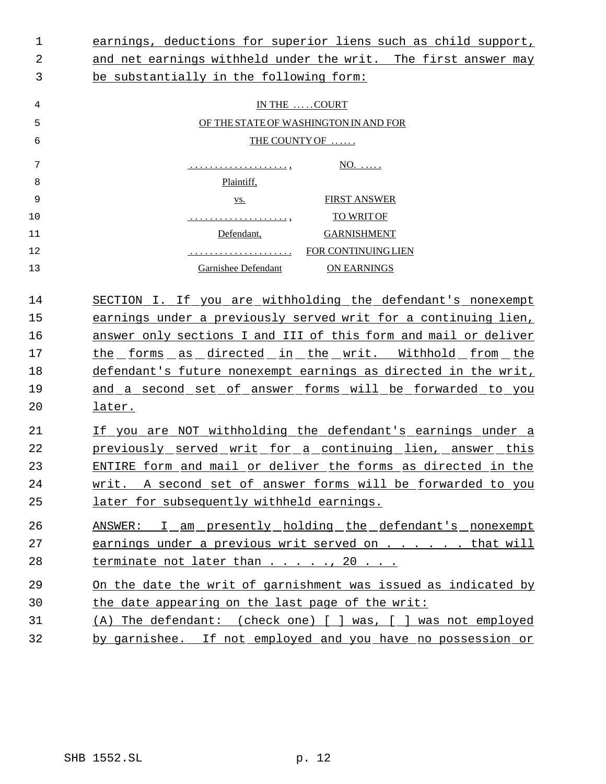| 1  | earnings, deductions for superior liens such as child support,  |
|----|-----------------------------------------------------------------|
| 2  | and net earnings withheld under the writ. The first answer may  |
| 3  | be substantially in the following form:                         |
| 4  | IN THE COURT                                                    |
| 5  | OF THE STATE OF WASHINGTON IN AND FOR                           |
| 6  | THE COUNTY OF                                                   |
| 7  | $NO. \ldots$ .<br><u>.</u>                                      |
| 8  | Plaintiff,                                                      |
| 9  | <b>FIRST ANSWER</b><br>VS.                                      |
| 10 | <b>TO WRIT OF</b><br><u>.</u>                                   |
| 11 | Defendant,<br><b>GARNISHMENT</b>                                |
| 12 | <u></u> FOR CONTINUING LIEN                                     |
| 13 | Garnishee Defendant<br><b>ON EARNINGS</b>                       |
| 14 | SECTION I. If you are withholding the defendant's nonexempt     |
| 15 | earnings under a previously served writ for a continuing lien,  |
| 16 | answer only sections I and III of this form and mail or deliver |
| 17 | the forms as directed in the writ. Withhold from the            |
| 18 | defendant's future nonexempt earnings as directed in the writ,  |
| 19 | and a second set of answer forms will be forwarded to you       |
| 20 | later.                                                          |
| 21 | If you are NOT withholding the defendant's earnings under a     |
| 22 | previously served writ for a continuing lien, answer this       |
| 23 | ENTIRE form and mail or deliver the forms as directed in the    |
| 24 | writ. A second set of answer forms will be forwarded to you     |
| 25 | later for subsequently withheld earnings.                       |
| 26 | ANSWER: I_am_presently_holding_the_defendant's_nonexempt        |
| 27 | earnings under a previous writ served on that will              |
| 28 | terminate not later than 20                                     |
| 29 | On the date the writ of garnishment was issued as indicated by  |
| 30 | the date appearing on the last page of the writ:                |
| 31 | (A) The defendant: (check one) [ ] was, [ ] was not employed    |
| 32 | by garnishee. If not employed and you have no possession or     |
|    |                                                                 |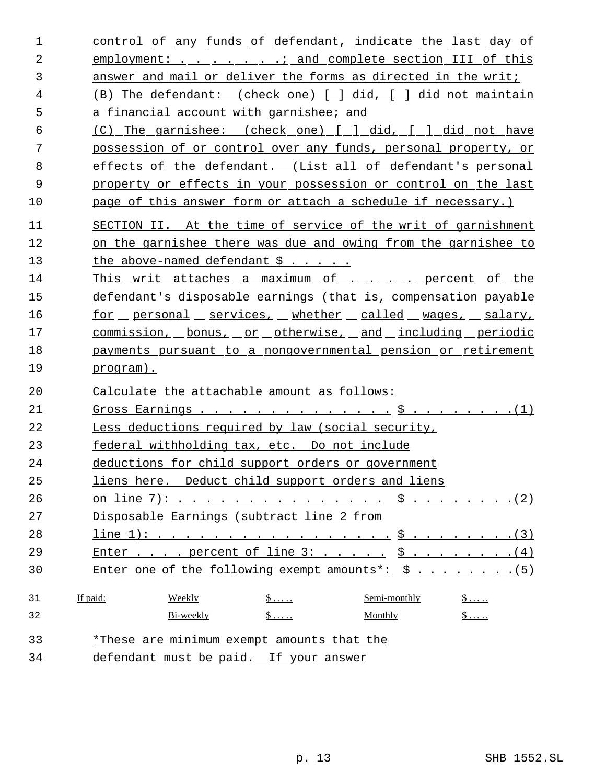| 1              | control of any funds of defendant, indicate the last day of                                     |  |
|----------------|-------------------------------------------------------------------------------------------------|--|
| $\overline{2}$ | employment: and complete section III of this                                                    |  |
| 3              | answer and mail or deliver the forms as directed in the writ;                                   |  |
| 4              | (B) The defendant: (check one) [ ] did, [ ] did not maintain                                    |  |
| 5              | a financial account with garnishee; and                                                         |  |
| 6              | (C) The garnishee: (check one) [ ] did, [ ] did not have                                        |  |
| 7              | possession of or control over any funds, personal property, or                                  |  |
| 8              | effects of the defendant. (List all of defendant's personal                                     |  |
| 9              | property or effects in your possession or control on the last                                   |  |
| 10             | page of this answer form or attach a schedule if necessary.)                                    |  |
| 11             | SECTION II. At the time of service of the writ of garnishment                                   |  |
| 12             | on the garnishee there was due and owing from the garnishee to                                  |  |
| 13             | the above-named defendant $\ddot{\mathsf{s}}$                                                   |  |
| 14             | <u>This writ attaches a maximum of  percent of the</u>                                          |  |
| 15             | defendant's disposable earnings (that is, compensation payable                                  |  |
| 16             | <u>for personal services, whether called wages, salary,</u>                                     |  |
| 17             | <u>commission, bonus, or otherwise, and including periodic</u>                                  |  |
| 18             | payments pursuant to a nongovernmental pension or retirement                                    |  |
| 19             | program).                                                                                       |  |
| 20             | Calculate the attachable amount as follows:                                                     |  |
| 21             |                                                                                                 |  |
| 22             | Less deductions required by law (social security,                                               |  |
| 23             | federal withholding tax, etc. Do not include                                                    |  |
| 24             | deductions for child support orders or government                                               |  |
| 25             | liens here. Deduct child support orders and liens                                               |  |
| 26             |                                                                                                 |  |
| 27             | Disposable Earnings (subtract line 2 from                                                       |  |
| 28             | line 1): \$ (3)                                                                                 |  |
| 29             | Enter percent of line $3:$ $\frac{5}{1}$ 4)                                                     |  |
| 30             | Enter one of the following exempt amounts <sup>*</sup> : $\$ \ . \ . \ . \ . \ . \ . \ . \ (5)$ |  |
| 31             | If paid:<br>Weekly<br>Semi-monthly<br>$\$\ldots$ .<br>$S$                                       |  |
| 32             | $S$<br>$\frac{1}{2}$<br>Bi-weekly<br>Monthly                                                    |  |
| 33             | *These are minimum exempt amounts that the                                                      |  |
| 34             | defendant must be paid. If your answer                                                          |  |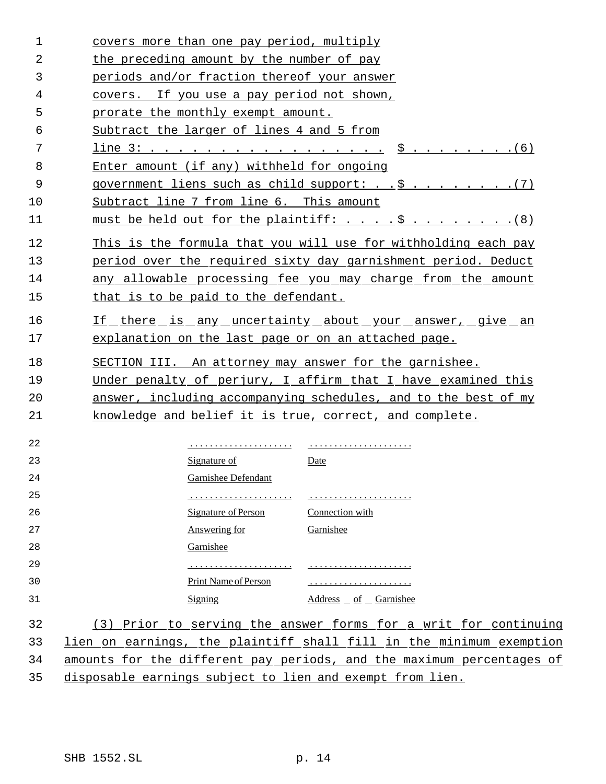| $\mathbf 1$    | covers more than one pay period, multiply                             |
|----------------|-----------------------------------------------------------------------|
| $\overline{2}$ | the preceding amount by the number of pay                             |
| 3              | periods and/or fraction thereof your answer                           |
| 4              | covers. If you use a pay period not shown,                            |
| 5              | prorate the monthly exempt amount.                                    |
| 6              | Subtract the larger of lines 4 and 5 from                             |
| 7              | line 3: \$ (6)                                                        |
| 8              | Enter amount (if any) withheld for ongoing                            |
| 9              |                                                                       |
| 10             | Subtract line 7 from line 6. This amount                              |
| 11             | must be held out for the plaintiff: \$ (8)                            |
| 12             | This is the formula that you will use for withholding each pay        |
| 13             | period over the required sixty day garnishment period. Deduct         |
| 14             | any allowable processing fee you may charge from the amount           |
| 15             | that is to be paid to the defendant.                                  |
| 16             | <u>If there is any uncertainty about your answer, give an</u>         |
| 17             | explanation on the last page or on an attached page.                  |
| 18             | SECTION III. An attorney may answer for the garnishee.                |
| 19             | Under penalty of perjury, I affirm that I have examined this          |
| 20             | answer, including accompanying schedules, and to the best of my       |
| 21             | knowledge and belief it is true, correct, and complete.               |
| 22             |                                                                       |
| 23             | Signature of<br>Date                                                  |
| 24             | <b>Garnishee Defendant</b>                                            |
| 25             |                                                                       |
| 26             | Signature of Person Connection with                                   |
| 27             | Answering for<br>Garnishee                                            |
| 28             | Garnishee                                                             |
| 29             |                                                                       |
| 30             | Print Name of Person                                                  |
| 31             | Signing<br>$Address of Gamma$                                         |
| 32             | (3) Prior to serving the answer forms for a writ for continuing       |
| 33             | lien on earnings, the plaintiff shall fill in the minimum exemption   |
| 34             | amounts for the different pay periods, and the maximum percentages of |
| 35             | disposable earnings subject to lien and exempt from lien.             |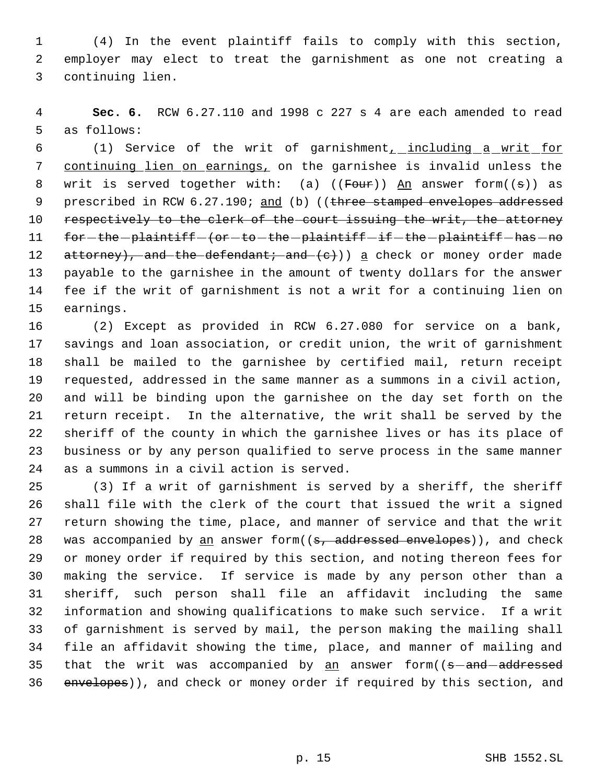(4) In the event plaintiff fails to comply with this section, employer may elect to treat the garnishment as one not creating a continuing lien.

 **Sec. 6.** RCW 6.27.110 and 1998 c 227 s 4 are each amended to read as follows:

6 (1) Service of the writ of garnishment<sub>1</sub> including a writ for 7 continuing lien on earnings, on the garnishee is invalid unless the 8 writ is served together with: (a)  $(($  Four  $))$  An answer form $((s))$  as 9 prescribed in RCW 6.27.190; and (b) ((three stamped envelopes addressed 10 respectively to the clerk of the court issuing the writ, the attorney 11 for - the - plaintiff - (or - to - the - plaintiff - if - the - plaintiff - has - no 12 attorney), and the defendant; and (e)) a check or money order made payable to the garnishee in the amount of twenty dollars for the answer fee if the writ of garnishment is not a writ for a continuing lien on earnings.

 (2) Except as provided in RCW 6.27.080 for service on a bank, savings and loan association, or credit union, the writ of garnishment shall be mailed to the garnishee by certified mail, return receipt requested, addressed in the same manner as a summons in a civil action, and will be binding upon the garnishee on the day set forth on the return receipt. In the alternative, the writ shall be served by the sheriff of the county in which the garnishee lives or has its place of business or by any person qualified to serve process in the same manner as a summons in a civil action is served.

 (3) If a writ of garnishment is served by a sheriff, the sheriff shall file with the clerk of the court that issued the writ a signed return showing the time, place, and manner of service and that the writ 28 was accompanied by  $\underline{an}$  answer form( $(s,$  addressed envelopes)), and check or money order if required by this section, and noting thereon fees for making the service. If service is made by any person other than a sheriff, such person shall file an affidavit including the same information and showing qualifications to make such service. If a writ of garnishment is served by mail, the person making the mailing shall file an affidavit showing the time, place, and manner of mailing and 35 that the writ was accompanied by an answer form((s-and-addressed 36 envelopes)), and check or money order if required by this section, and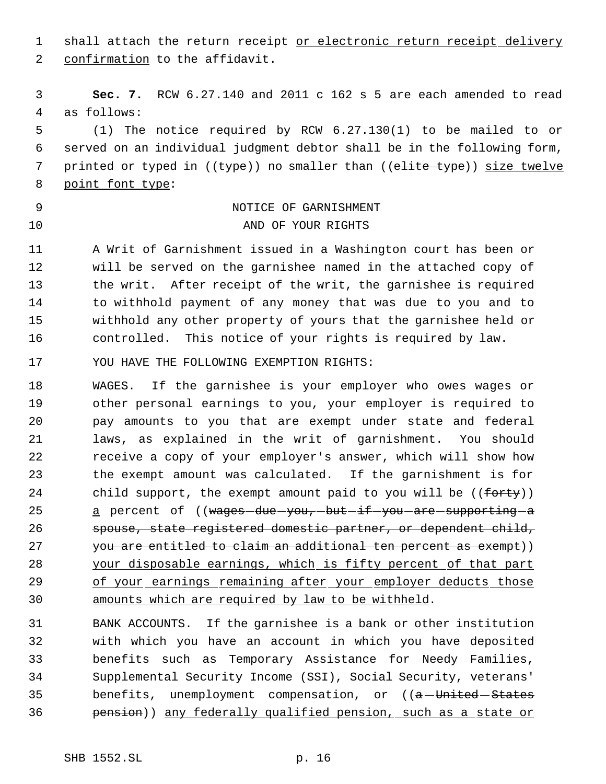1 shall attach the return receipt or electronic return receipt delivery confirmation to the affidavit.

 **Sec. 7.** RCW 6.27.140 and 2011 c 162 s 5 are each amended to read as follows:

 (1) The notice required by RCW 6.27.130(1) to be mailed to or served on an individual judgment debtor shall be in the following form, 7 printed or typed in ((type)) no smaller than ((elite type)) size twelve 8 point font type:

# NOTICE OF GARNISHMENT 10 AND OF YOUR RIGHTS

 A Writ of Garnishment issued in a Washington court has been or will be served on the garnishee named in the attached copy of the writ. After receipt of the writ, the garnishee is required to withhold payment of any money that was due to you and to withhold any other property of yours that the garnishee held or controlled. This notice of your rights is required by law.

YOU HAVE THE FOLLOWING EXEMPTION RIGHTS:

 WAGES. If the garnishee is your employer who owes wages or other personal earnings to you, your employer is required to pay amounts to you that are exempt under state and federal laws, as explained in the writ of garnishment. You should receive a copy of your employer's answer, which will show how the exempt amount was calculated. If the garnishment is for 24 child support, the exempt amount paid to you will be ((forty)) 25 a percent of ((wages-due-you,-but-if-you-are-supporting-a spouse, state registered domestic partner, or dependent child, 27 you are entitled to claim an additional ten percent as exempt)) your disposable earnings, which is fifty percent of that part 29 of your earnings remaining after your employer deducts those amounts which are required by law to be withheld.

 BANK ACCOUNTS. If the garnishee is a bank or other institution with which you have an account in which you have deposited benefits such as Temporary Assistance for Needy Families, Supplemental Security Income (SSI), Social Security, veterans' 35 benefits, unemployment compensation, or ((a-United-States pension)) any federally qualified pension, such as a state or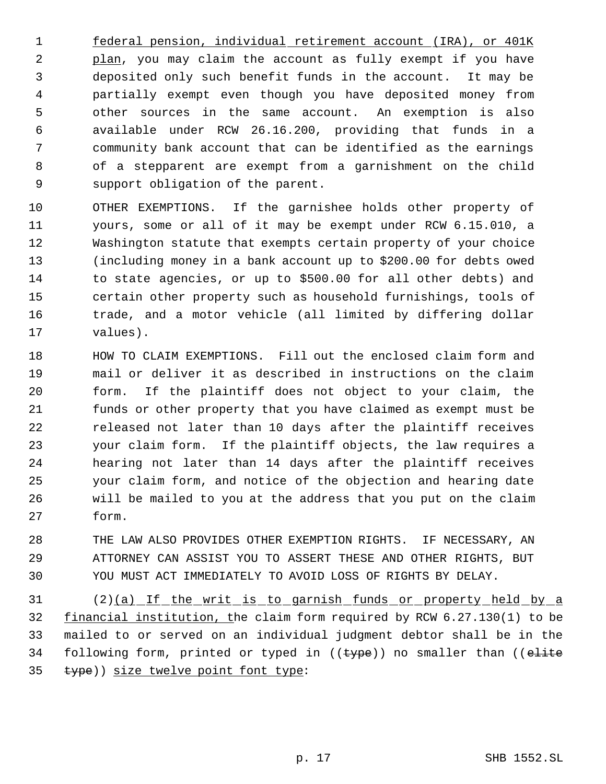federal pension, individual retirement account (IRA), or 401K 2 plan, you may claim the account as fully exempt if you have deposited only such benefit funds in the account. It may be partially exempt even though you have deposited money from other sources in the same account. An exemption is also available under RCW 26.16.200, providing that funds in a community bank account that can be identified as the earnings of a stepparent are exempt from a garnishment on the child support obligation of the parent.

 OTHER EXEMPTIONS. If the garnishee holds other property of yours, some or all of it may be exempt under RCW 6.15.010, a Washington statute that exempts certain property of your choice (including money in a bank account up to \$200.00 for debts owed to state agencies, or up to \$500.00 for all other debts) and certain other property such as household furnishings, tools of trade, and a motor vehicle (all limited by differing dollar values).

 HOW TO CLAIM EXEMPTIONS. Fill out the enclosed claim form and mail or deliver it as described in instructions on the claim form. If the plaintiff does not object to your claim, the funds or other property that you have claimed as exempt must be released not later than 10 days after the plaintiff receives your claim form. If the plaintiff objects, the law requires a hearing not later than 14 days after the plaintiff receives your claim form, and notice of the objection and hearing date will be mailed to you at the address that you put on the claim form.

 THE LAW ALSO PROVIDES OTHER EXEMPTION RIGHTS. IF NECESSARY, AN ATTORNEY CAN ASSIST YOU TO ASSERT THESE AND OTHER RIGHTS, BUT YOU MUST ACT IMMEDIATELY TO AVOID LOSS OF RIGHTS BY DELAY.

 (2)(a) If the writ is to garnish funds or property held by a 32 financial institution, the claim form required by RCW 6.27.130(1) to be mailed to or served on an individual judgment debtor shall be in the 34 following form, printed or typed in ((type)) no smaller than ((elite type)) size twelve point font type: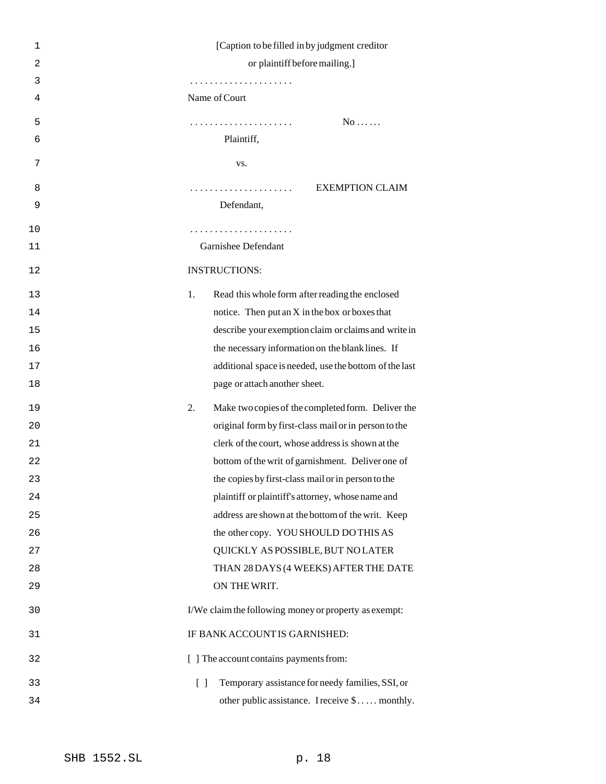| 1              | [Caption to be filled in by judgment creditor]             |
|----------------|------------------------------------------------------------|
| $\overline{2}$ | or plaintiff before mailing.]                              |
| 3              |                                                            |
| 4              | Name of Court                                              |
| 5              | $No \ldots$                                                |
| 6              | Plaintiff,                                                 |
| 7              | VS.                                                        |
| 8              | <b>EXEMPTION CLAIM</b>                                     |
| 9              | Defendant,                                                 |
| 10             | .                                                          |
| 11             | Garnishee Defendant                                        |
| 12             | <b>INSTRUCTIONS:</b>                                       |
| 13             | 1.<br>Read this whole form after reading the enclosed      |
| 14             | notice. Then put an $X$ in the box or boxes that           |
| 15             | describe your exemption claim or claims and write in       |
| 16             | the necessary information on the blank lines. If           |
| 17             | additional space is needed, use the bottom of the last     |
| 18             | page or attach another sheet.                              |
| 19             | Make two copies of the completed form. Deliver the<br>2.   |
| 20             | original form by first-class mail or in person to the      |
| 21             | clerk of the court, whose address is shown at the          |
| 22             | bottom of the writ of garnishment. Deliver one of          |
| 23             | the copies by first-class mail or in person to the         |
| 24             | plaintiff or plaintiff's attorney, whose name and          |
| 25             | address are shown at the bottom of the writ. Keep          |
| 26             | the other copy. YOU SHOULD DO THIS AS                      |
| 27             | QUICKLY AS POSSIBLE, BUT NO LATER                          |
| 28             | THAN 28 DAYS (4 WEEKS) AFTER THE DATE                      |
| 29             | ON THE WRIT.                                               |
| 30             | I/We claim the following money or property as exempt:      |
| 31             | IF BANK ACCOUNT IS GARNISHED:                              |
| 32             | [ ] The account contains payments from:                    |
| 33             | Temporary assistance for needy families, SSI, or<br>$\Box$ |
| 34             | other public assistance. I receive \$ monthly.             |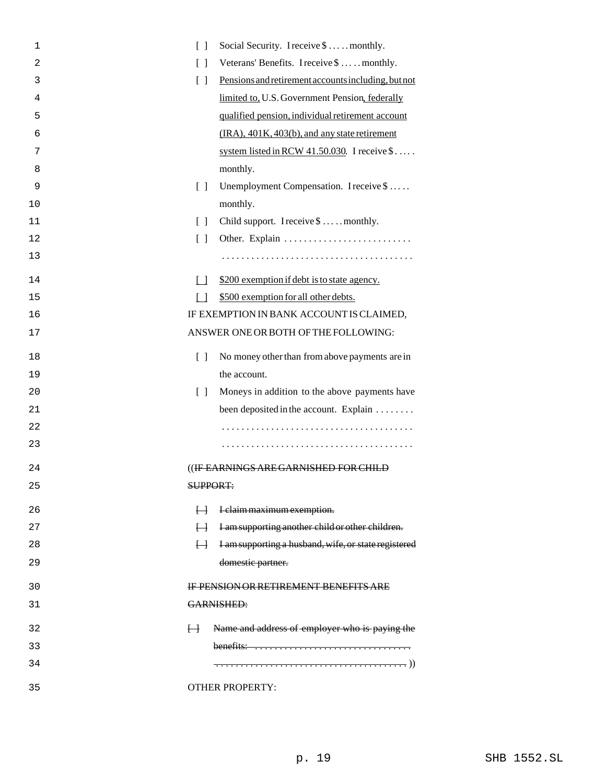| $\Box$<br>1                            | Social Security. I receive \$  monthly.                                       |  |
|----------------------------------------|-------------------------------------------------------------------------------|--|
| $\overline{2}$<br>$\lceil$ $\rceil$    | Veterans' Benefits. I receive \$  monthly.                                    |  |
| $\begin{bmatrix} 1 \end{bmatrix}$<br>3 | Pensions and retirement accounts including, but not                           |  |
| 4                                      | limited to, U.S. Government Pension, federally                                |  |
| 5                                      | qualified pension, individual retirement account                              |  |
| 6                                      | (IRA), 401K, 403(b), and any state retirement                                 |  |
| 7                                      | system listed in RCW $41.50.030$ . I receive \$                               |  |
| 8                                      | monthly.                                                                      |  |
| 9<br>$\Box$                            | Unemployment Compensation. I receive \$                                       |  |
| 10                                     | monthly.                                                                      |  |
| 11<br>$\Box$                           | Child support. I receive \$  monthly.                                         |  |
| 12<br>$\lceil$ $\rceil$                | Other. Explain                                                                |  |
| 13                                     |                                                                               |  |
| 14<br>$\Box$                           | \$200 exemption if debt is to state agency.                                   |  |
| 15<br>$\Box$                           | \$500 exemption for all other debts.                                          |  |
| 16                                     | IF EXEMPTION IN BANK ACCOUNT IS CLAIMED,                                      |  |
| 17                                     | ANSWER ONE OR BOTH OF THE FOLLOWING:                                          |  |
| $\lceil \rceil$<br>18                  | No money other than from above payments are in                                |  |
| 19                                     | the account.                                                                  |  |
| $\lceil$ $\rceil$<br>20                | Moneys in addition to the above payments have                                 |  |
| 21                                     | been deposited in the account. Explain                                        |  |
| 22                                     |                                                                               |  |
| 23                                     |                                                                               |  |
| 24                                     | ((IF EARNINGS ARE GARNISHED FOR CHILD                                         |  |
| 25                                     | SUPPORT:                                                                      |  |
| 26<br>$\overline{\mathsf{H}}$          | I claim maximum exemption.                                                    |  |
| 27<br>$\vdash$                         | I am supporting another child or other children.                              |  |
| 28<br>$\overline{H}$                   | I am supporting a husband, wife, or state registered                          |  |
| 29                                     | domestic partner.                                                             |  |
| 30                                     | <b>IF PENSION OR RETIREMENT BENEFITS ARE</b>                                  |  |
| 31                                     | GARNISHED:                                                                    |  |
| 32<br>$\overline{H}$                   | Name and address of employer who is paying the                                |  |
| 33                                     | benefits: $\dots \dots \dots \dots \dots \dots \dots \dots \dots \dots \dots$ |  |
| 34                                     |                                                                               |  |
| 35                                     | <b>OTHER PROPERTY:</b>                                                        |  |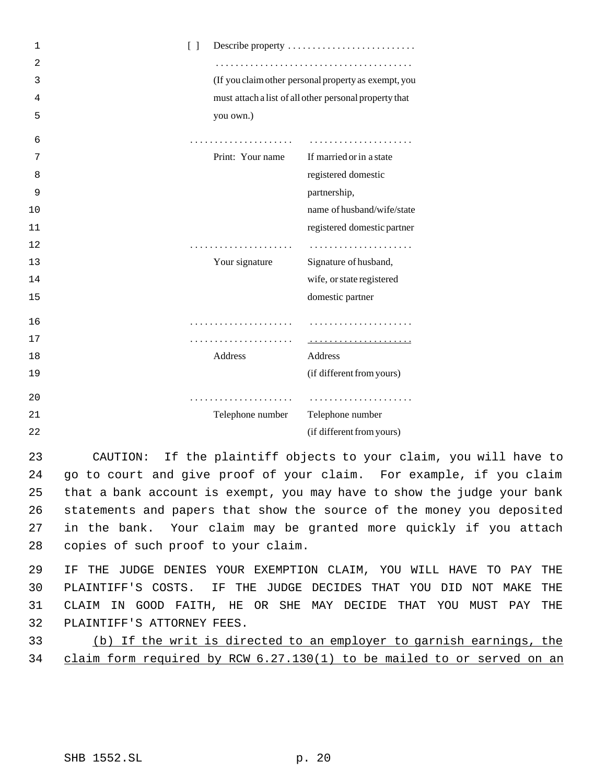| 1              | $\begin{bmatrix} 1 \end{bmatrix}$ |                  | Describe property                                      |
|----------------|-----------------------------------|------------------|--------------------------------------------------------|
| $\overline{2}$ |                                   |                  |                                                        |
| 3              |                                   |                  | (If you claim other personal property as exempt, you   |
| 4              |                                   |                  | must attach a list of all other personal property that |
| 5              |                                   | you own.)        |                                                        |
| 6              |                                   | .                |                                                        |
| 7              |                                   | Print: Your name | If married or in a state                               |
| 8              |                                   |                  | registered domestic                                    |
| 9              |                                   |                  | partnership,                                           |
| 10             |                                   |                  | name of husband/wife/state                             |
| 11             |                                   |                  | registered domestic partner                            |
| 12             |                                   |                  |                                                        |
| 13             |                                   | Your signature   | Signature of husband,                                  |
| 14             |                                   |                  | wife, or state registered                              |
| 15             |                                   |                  | domestic partner                                       |
| 16             |                                   | .                |                                                        |
| 17             |                                   | .                |                                                        |
| 18             |                                   | <b>Address</b>   | Address                                                |
| 19             |                                   |                  | (if different from yours)                              |
| 20             |                                   |                  |                                                        |
| 21             |                                   | Telephone number | Telephone number                                       |
| 22             |                                   |                  | (if different from yours)                              |

 CAUTION: If the plaintiff objects to your claim, you will have to go to court and give proof of your claim. For example, if you claim that a bank account is exempt, you may have to show the judge your bank statements and papers that show the source of the money you deposited in the bank. Your claim may be granted more quickly if you attach copies of such proof to your claim.

 IF THE JUDGE DENIES YOUR EXEMPTION CLAIM, YOU WILL HAVE TO PAY THE PLAINTIFF'S COSTS. IF THE JUDGE DECIDES THAT YOU DID NOT MAKE THE CLAIM IN GOOD FAITH, HE OR SHE MAY DECIDE THAT YOU MUST PAY THE PLAINTIFF'S ATTORNEY FEES.

 (b) If the writ is directed to an employer to garnish earnings, the claim form required by RCW 6.27.130(1) to be mailed to or served on an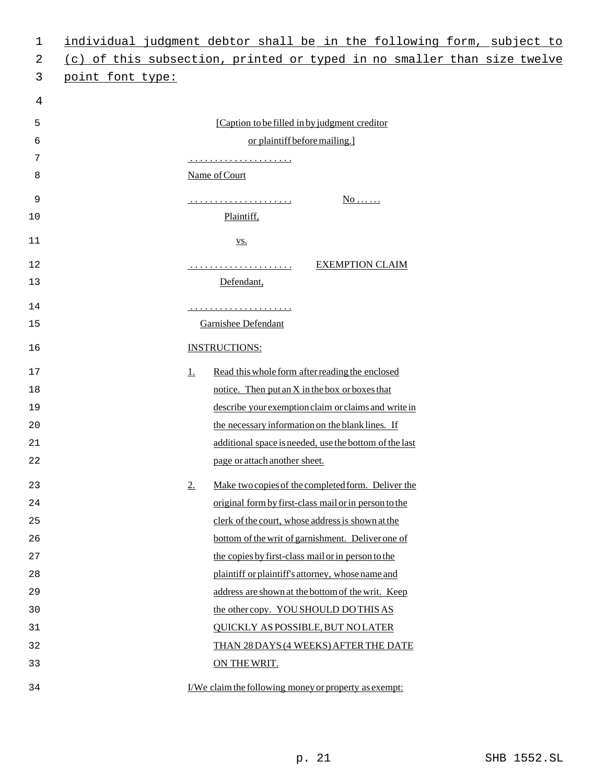| 1  | individual judgment debtor shall be in the following form, subject to   |  |  |
|----|-------------------------------------------------------------------------|--|--|
| 2  | (c) of this subsection, printed or typed in no smaller than size twelve |  |  |
| 3  | point font type:                                                        |  |  |
| 4  |                                                                         |  |  |
| 5  | [Caption to be filled in by judgment creditor]                          |  |  |
| 6  | or plaintiff before mailing.]                                           |  |  |
| 7  |                                                                         |  |  |
| 8  | Name of Court                                                           |  |  |
| 9  | <u>No </u>                                                              |  |  |
| 10 | Plaintiff,                                                              |  |  |
| 11 | <u>VS.</u>                                                              |  |  |
|    |                                                                         |  |  |
| 12 | <b>EXEMPTION CLAIM</b>                                                  |  |  |
| 13 | Defendant,                                                              |  |  |
| 14 | <u>.</u>                                                                |  |  |
| 15 | <b>Garnishee Defendant</b>                                              |  |  |
| 16 | <b>INSTRUCTIONS:</b>                                                    |  |  |
| 17 | Read this whole form after reading the enclosed<br>$\perp$              |  |  |
| 18 | notice. Then put an X in the box or boxes that                          |  |  |
| 19 | describe your exemption claim or claims and write in                    |  |  |
| 20 | the necessary information on the blank lines. If                        |  |  |
| 21 | additional space is needed, use the bottom of the last                  |  |  |
| 22 | page or attach another sheet.                                           |  |  |
| 23 | Make two copies of the completed form. Deliver the<br>2.                |  |  |
| 24 | original form by first-class mail or in person to the                   |  |  |
| 25 | clerk of the court, whose address is shown at the                       |  |  |
| 26 | bottom of the writ of garnishment. Deliver one of                       |  |  |
| 27 | the copies by first-class mail or in person to the                      |  |  |
| 28 | plaintiff or plaintiff's attorney, whose name and                       |  |  |
| 29 | address are shown at the bottom of the writ. Keep                       |  |  |
| 30 | the other copy. YOU SHOULD DO THIS AS                                   |  |  |
| 31 | <b>QUICKLY AS POSSIBLE, BUT NO LATER</b>                                |  |  |
| 32 | THAN 28 DAYS (4 WEEKS) AFTER THE DATE                                   |  |  |
| 33 | ON THE WRIT.                                                            |  |  |
| 34 | I/We claim the following money or property as exempt:                   |  |  |
|    |                                                                         |  |  |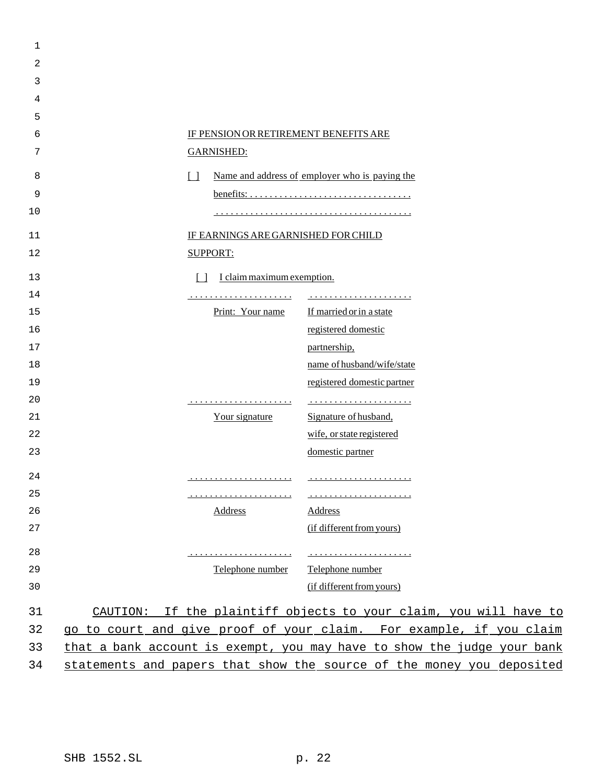| 1  |                                       |                                                                         |
|----|---------------------------------------|-------------------------------------------------------------------------|
| 2  |                                       |                                                                         |
| 3  |                                       |                                                                         |
| 4  |                                       |                                                                         |
| 5  |                                       |                                                                         |
| 6  | IF PENSION OR RETIREMENT BENEFITS ARE |                                                                         |
| 7  | <b>GARNISHED:</b>                     |                                                                         |
| 8  | $\Box$                                | Name and address of employer who is paying the                          |
| 9  |                                       |                                                                         |
| 10 |                                       |                                                                         |
| 11 | IF EARNINGS ARE GARNISHED FOR CHILD   |                                                                         |
| 12 | <b>SUPPORT:</b>                       |                                                                         |
|    |                                       |                                                                         |
| 13 | I claim maximum exemption.<br>$\Box$  |                                                                         |
| 14 |                                       |                                                                         |
| 15 | Print: Your name                      | If married or in a state                                                |
| 16 |                                       | registered domestic                                                     |
| 17 |                                       | partnership,                                                            |
| 18 |                                       | name of husband/wife/state                                              |
| 19 |                                       | registered domestic partner                                             |
| 20 |                                       |                                                                         |
| 21 | Your signature                        | Signature of husband,                                                   |
| 22 |                                       | wife, or state registered                                               |
| 23 |                                       | domestic partner                                                        |
| 24 |                                       |                                                                         |
| 25 |                                       |                                                                         |
| 26 | <b>Address</b>                        | <b>Address</b>                                                          |
| 27 |                                       | (if different from yours)                                               |
| 28 |                                       |                                                                         |
| 29 | Telephone number                      | Telephone number                                                        |
| 30 |                                       | (if different from yours)                                               |
| 31 |                                       | CAUTION: If the plaintiff objects to your claim, you will have to       |
| 32 |                                       | go to court and give proof of your claim. For example, if you claim     |
| 33 |                                       | that a bank account is exempt, you may have to show the judge your bank |
| 34 |                                       | statements and papers that show the source of the money you deposited   |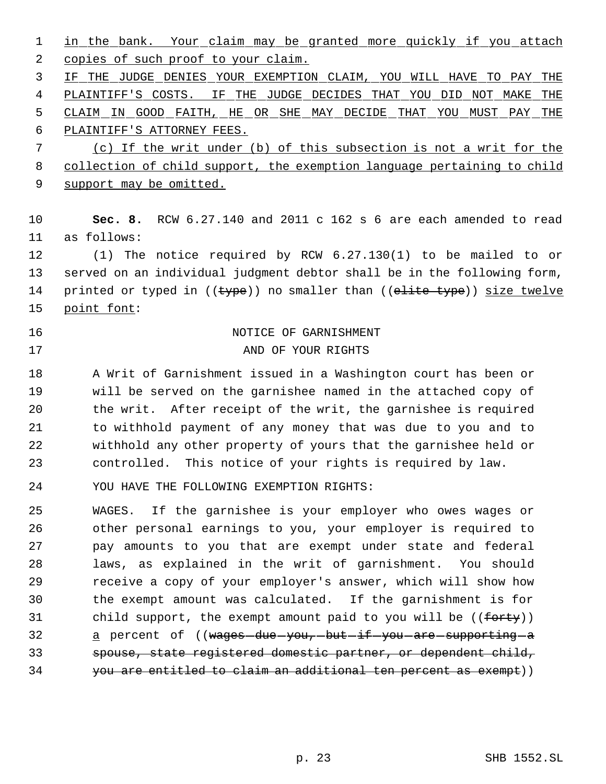1 in the bank. Your claim may be granted more quickly if you attach 2 copies of such proof to your claim. IF THE JUDGE DENIES YOUR EXEMPTION CLAIM, YOU WILL HAVE TO PAY THE PLAINTIFF'S COSTS. IF THE JUDGE DECIDES THAT YOU DID NOT MAKE THE CLAIM IN GOOD FAITH, HE OR SHE MAY DECIDE THAT YOU MUST PAY THE

PLAINTIFF'S ATTORNEY FEES.

 (c) If the writ under (b) of this subsection is not a writ for the collection of child support, the exemption language pertaining to child 9 support may be omitted.

 **Sec. 8.** RCW 6.27.140 and 2011 c 162 s 6 are each amended to read as follows:

 (1) The notice required by RCW 6.27.130(1) to be mailed to or served on an individual judgment debtor shall be in the following form, 14 printed or typed in ((type)) no smaller than ((elite type)) size twelve point font:

# 16 NOTICE OF GARNISHMENT

# 17 AND OF YOUR RIGHTS

 A Writ of Garnishment issued in a Washington court has been or will be served on the garnishee named in the attached copy of the writ. After receipt of the writ, the garnishee is required to withhold payment of any money that was due to you and to withhold any other property of yours that the garnishee held or controlled. This notice of your rights is required by law.

YOU HAVE THE FOLLOWING EXEMPTION RIGHTS:

 WAGES. If the garnishee is your employer who owes wages or other personal earnings to you, your employer is required to pay amounts to you that are exempt under state and federal laws, as explained in the writ of garnishment. You should receive a copy of your employer's answer, which will show how the exempt amount was calculated. If the garnishment is for 31 child support, the exempt amount paid to you will be ((forty)) 32 a percent of ((wages-due-you,-but-if-you-are-supporting-a spouse, state registered domestic partner, or dependent child, you are entitled to claim an additional ten percent as exempt))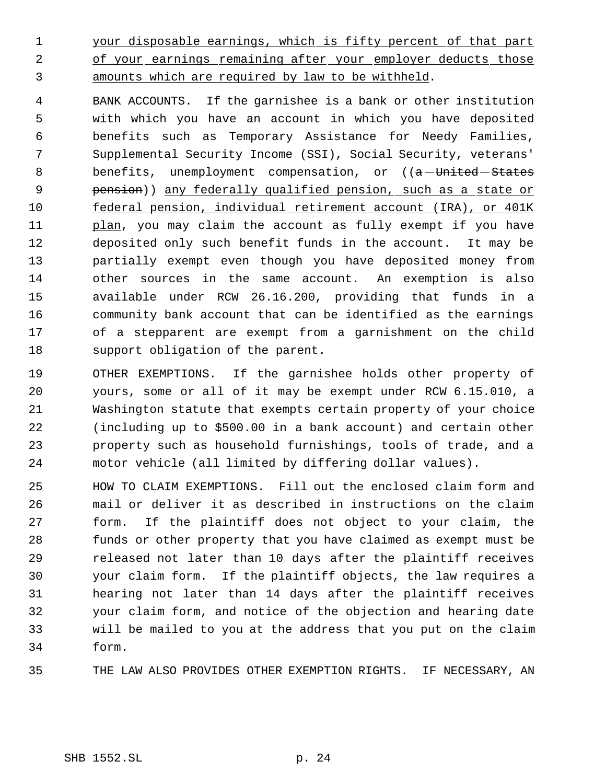1 your disposable earnings, which is fifty percent of that part 2 of your earnings remaining after your employer deducts those amounts which are required by law to be withheld.

 BANK ACCOUNTS. If the garnishee is a bank or other institution with which you have an account in which you have deposited benefits such as Temporary Assistance for Needy Families, Supplemental Security Income (SSI), Social Security, veterans' 8 benefits, unemployment compensation, or ((a-United-States pension)) any federally qualified pension, such as a state or federal pension, individual retirement account (IRA), or 401K 11 plan, you may claim the account as fully exempt if you have deposited only such benefit funds in the account. It may be partially exempt even though you have deposited money from other sources in the same account. An exemption is also available under RCW 26.16.200, providing that funds in a community bank account that can be identified as the earnings of a stepparent are exempt from a garnishment on the child support obligation of the parent.

 OTHER EXEMPTIONS. If the garnishee holds other property of yours, some or all of it may be exempt under RCW 6.15.010, a Washington statute that exempts certain property of your choice (including up to \$500.00 in a bank account) and certain other property such as household furnishings, tools of trade, and a motor vehicle (all limited by differing dollar values).

 HOW TO CLAIM EXEMPTIONS. Fill out the enclosed claim form and mail or deliver it as described in instructions on the claim form. If the plaintiff does not object to your claim, the funds or other property that you have claimed as exempt must be released not later than 10 days after the plaintiff receives your claim form. If the plaintiff objects, the law requires a hearing not later than 14 days after the plaintiff receives your claim form, and notice of the objection and hearing date will be mailed to you at the address that you put on the claim form.

THE LAW ALSO PROVIDES OTHER EXEMPTION RIGHTS. IF NECESSARY, AN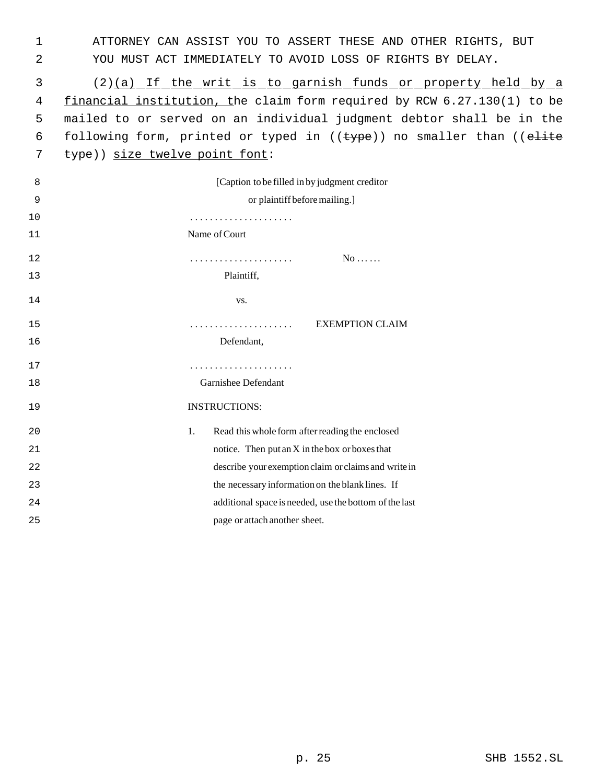1 ATTORNEY CAN ASSIST YOU TO ASSERT THESE AND OTHER RIGHTS, BUT 2 YOU MUST ACT IMMEDIATELY TO AVOID LOSS OF RIGHTS BY DELAY.

 3 (2)(a) If the writ is to garnish funds or property held by a 4 financial institution, the claim form required by RCW 6.27.130(1) to be 5 mailed to or served on an individual judgment debtor shall be in the 6 following form, printed or typed in  $((\text{type}))$  no smaller than  $((\text{elite})$ 7 type)) size twelve point font:

| 8  | [Caption to be filled in by judgment creditor]         |
|----|--------------------------------------------------------|
| 9  | or plaintiff before mailing.]                          |
| 10 |                                                        |
| 11 | Name of Court                                          |
| 12 | $No$<br>.                                              |
| 13 | Plaintiff,                                             |
| 14 | VS.                                                    |
| 15 | <b>EXEMPTION CLAIM</b>                                 |
| 16 | Defendant,                                             |
| 17 |                                                        |
| 18 | Garnishee Defendant                                    |
| 19 | <b>INSTRUCTIONS:</b>                                   |
| 20 | Read this whole form after reading the enclosed<br>1.  |
| 21 | notice. Then put an X in the box or boxes that         |
| 22 | describe your exemption claim or claims and write in   |
| 23 | the necessary information on the blank lines. If       |
| 24 | additional space is needed, use the bottom of the last |
| 25 | page or attach another sheet.                          |
|    |                                                        |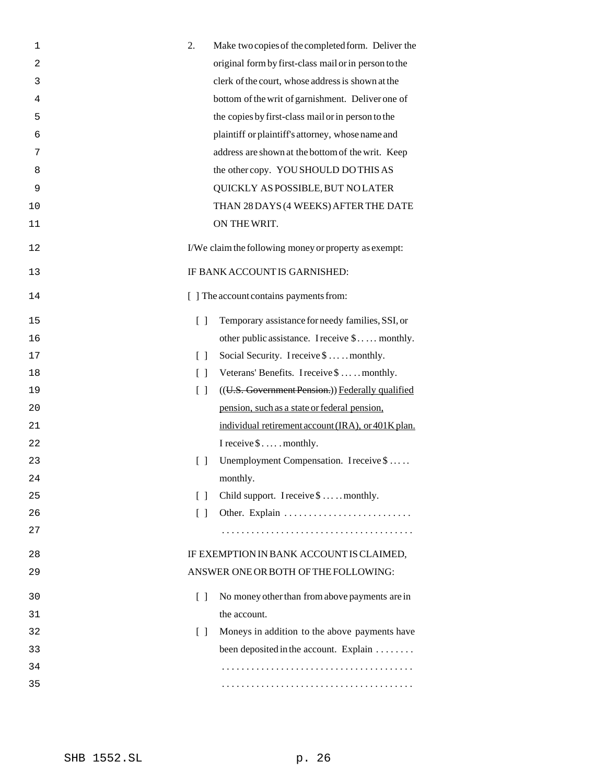| $\mathbf 1$    | 2.<br>Make two copies of the completed form. Deliver the                            |
|----------------|-------------------------------------------------------------------------------------|
| $\overline{c}$ | original form by first-class mail or in person to the                               |
| 3              | clerk of the court, whose address is shown at the                                   |
| 4              | bottom of the writ of garnishment. Deliver one of                                   |
| 5              | the copies by first-class mail or in person to the                                  |
| 6              | plaintiff or plaintiff's attorney, whose name and                                   |
| 7              | address are shown at the bottom of the writ. Keep                                   |
| 8              | the other copy. YOU SHOULD DO THIS AS                                               |
| 9              | QUICKLY AS POSSIBLE, BUT NO LATER                                                   |
| 10             | THAN 28 DAYS (4 WEEKS) AFTER THE DATE                                               |
| 11             | ON THE WRIT.                                                                        |
| 12             | I/We claim the following money or property as exempt:                               |
| 13             | IF BANK ACCOUNT IS GARNISHED:                                                       |
| 14             | [ ] The account contains payments from:                                             |
| 15             | Temporary assistance for needy families, SSI, or<br>$\begin{bmatrix} \end{bmatrix}$ |
| 16             | other public assistance. I receive \$ monthly.                                      |
| 17             | Social Security. I receive \$  monthly.<br>$\lceil$ $\rceil$                        |
| 18             | Veterans' Benefits. I receive \$  monthly.<br>$\begin{bmatrix} \end{bmatrix}$       |
| 19             | $\begin{bmatrix} \end{bmatrix}$<br>((U.S. Government Pension.)) Federally qualified |
| 20             | pension, such as a state or federal pension,                                        |
| 21             | individual retirement account (IRA), or 401K plan.                                  |
| 22             | I receive \$ monthly.                                                               |
| 23             | Unemployment Compensation. I receive \$<br>$\begin{bmatrix} \end{bmatrix}$          |
| 24             | monthly.                                                                            |
| 25             | Child support. I receive \$  . monthly.<br>$\Box$                                   |
| 26             | $\lceil$ $\rceil$                                                                   |
| 27             |                                                                                     |
| 28             | IF EXEMPTION IN BANK ACCOUNT IS CLAIMED,                                            |
| 29             | ANSWER ONE OR BOTH OF THE FOLLOWING:                                                |
| 30             | No money other than from above payments are in<br>$\Box$                            |
| 31             | the account.                                                                        |
| 32             | Moneys in addition to the above payments have<br>$\Box$                             |
| 33             | been deposited in the account. Explain                                              |
| 34             |                                                                                     |
| 35             |                                                                                     |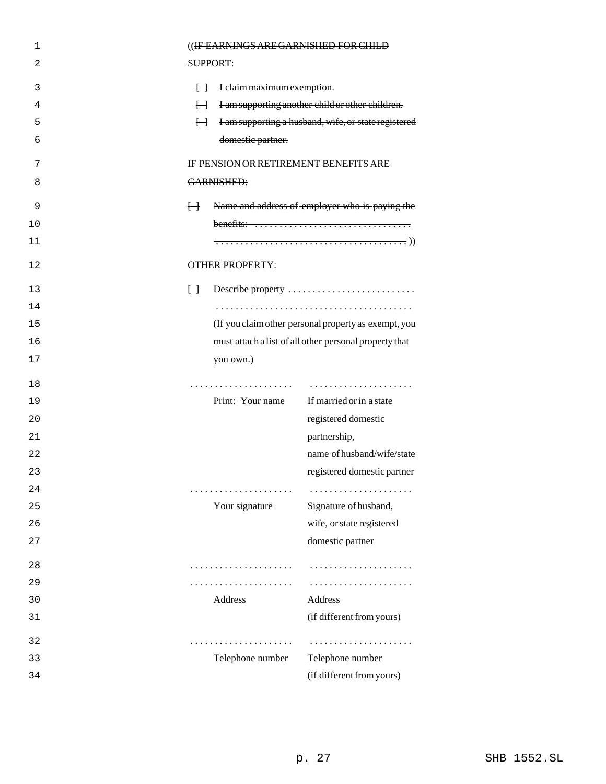| 1  | ((IF EARNINGS ARE GARNISHED FOR CHILD                                         |
|----|-------------------------------------------------------------------------------|
| 2  | SUPPORT:                                                                      |
| 3  | $\vdash$<br>I claim maximum exemption.                                        |
| 4  | I am supporting another child or other children.<br>H                         |
| 5  | I am supporting a husband, wife, or state registered<br>$\overline{H}$        |
| 6  | domestic partner.                                                             |
| 7  | <b>IF PENSION OR RETIREMENT BENEFITS ARE</b>                                  |
| 8  | <b>GARNISHED:</b>                                                             |
| 9  | Name and address of employer who is paying the<br>$\overline{H}$              |
| 10 | benefits: $\dots \dots \dots \dots \dots \dots \dots \dots \dots \dots \dots$ |
| 11 |                                                                               |
| 12 | <b>OTHER PROPERTY:</b>                                                        |
| 13 | Describe property<br>$\Box$                                                   |
| 14 |                                                                               |
| 15 | (If you claim other personal property as exempt, you                          |
| 16 | must attach a list of all other personal property that                        |
| 17 | you own.)                                                                     |
| 18 |                                                                               |
| 19 | Print: Your name<br>If married or in a state                                  |
| 20 | registered domestic                                                           |
| 21 | partnership,                                                                  |
| 22 | name of husband/wife/state                                                    |
| 23 | registered domestic partner                                                   |
| 24 | .                                                                             |
| 25 | Your signature<br>Signature of husband,                                       |
| 26 | wife, or state registered                                                     |
| 27 | domestic partner                                                              |
| 28 | .<br>.                                                                        |
| 29 | .<br>.                                                                        |
| 30 | Address<br>Address                                                            |
| 31 | (if different from yours)                                                     |
| 32 |                                                                               |
| 33 | Telephone number<br>Telephone number                                          |
| 34 | (if different from yours)                                                     |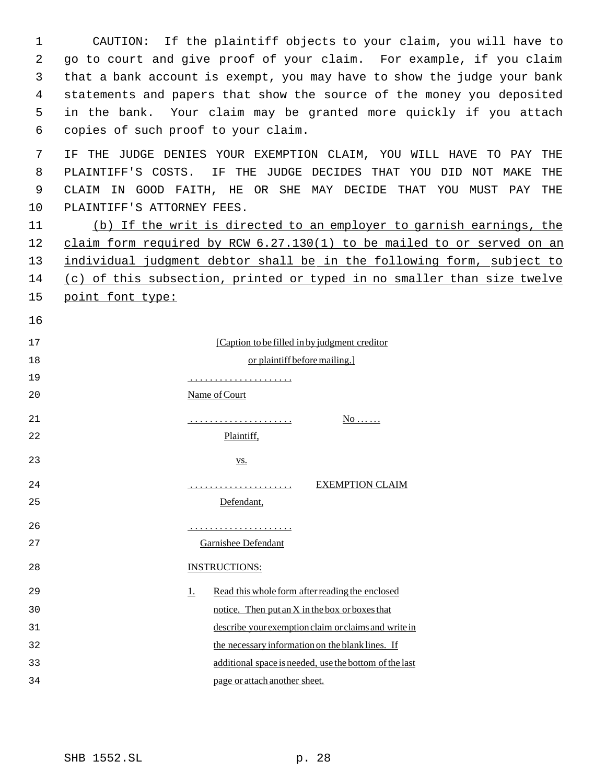| 1  | CAUTION: If the plaintiff objects to your claim, you will have to         |  |  |
|----|---------------------------------------------------------------------------|--|--|
| 2  | go to court and give proof of your claim. For example, if you claim       |  |  |
| 3  | that a bank account is exempt, you may have to show the judge your bank   |  |  |
| 4  | statements and papers that show the source of the money you deposited     |  |  |
| 5  | in the bank. Your claim may be granted more quickly if you attach         |  |  |
| 6  | copies of such proof to your claim.                                       |  |  |
| 7  | THE JUDGE DENIES YOUR EXEMPTION CLAIM, YOU WILL HAVE TO PAY<br>THE<br>IF. |  |  |
| 8  | IF THE JUDGE DECIDES THAT YOU DID NOT MAKE<br>PLAINTIFF'S COSTS.<br>THE   |  |  |
| 9  | CLAIM IN GOOD FAITH, HE OR SHE MAY DECIDE THAT YOU MUST PAY<br>THE        |  |  |
| 10 | PLAINTIFF'S ATTORNEY FEES.                                                |  |  |
| 11 | (b) If the writ is directed to an employer to garnish earnings, the       |  |  |
| 12 | claim form required by RCW 6.27.130(1) to be mailed to or served on an    |  |  |
| 13 | individual judgment debtor shall be in the following form, subject to     |  |  |
| 14 | (c) of this subsection, printed or typed in no smaller than size twelve   |  |  |
| 15 | point font type:                                                          |  |  |
| 16 |                                                                           |  |  |
| 17 | [Caption to be filled in by judgment creditor]                            |  |  |
| 18 | or plaintiff before mailing.]                                             |  |  |
| 19 |                                                                           |  |  |
| 20 | Name of Court                                                             |  |  |
| 21 | $N_0$                                                                     |  |  |
| 22 | Plaintiff,                                                                |  |  |
|    |                                                                           |  |  |
| 23 | $\underline{\mathbf{VS}}$ .                                               |  |  |
| 24 | <b>EXEMPTION CLAIM</b>                                                    |  |  |
| 25 | Defendant,                                                                |  |  |
| 26 |                                                                           |  |  |
| 27 | .                                                                         |  |  |
| 28 | Garnishee Defendant                                                       |  |  |
|    | <b>INSTRUCTIONS:</b>                                                      |  |  |
| 29 | Read this whole form after reading the enclosed<br><u>1.</u>              |  |  |
| 30 | notice. Then put an X in the box or boxes that                            |  |  |
| 31 | describe your exemption claim or claims and write in                      |  |  |
| 32 | the necessary information on the blank lines. If                          |  |  |
| 33 | additional space is needed, use the bottom of the last                    |  |  |
| 34 | page or attach another sheet.                                             |  |  |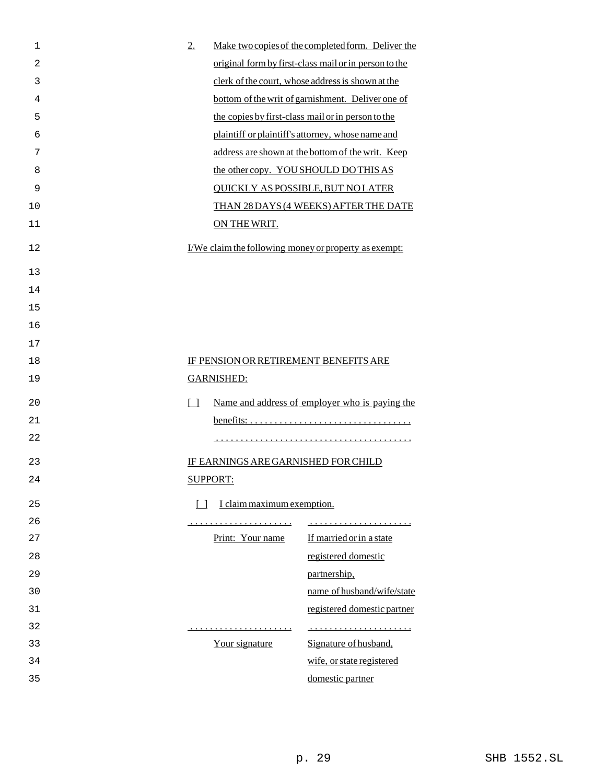| $\mathbf 1$    | 2.                                                    | Make two copies of the completed form. Deliver the    |
|----------------|-------------------------------------------------------|-------------------------------------------------------|
| $\overline{c}$ |                                                       | original form by first-class mail or in person to the |
| 3              |                                                       | clerk of the court, whose address is shown at the     |
| 4              |                                                       | bottom of the writ of garnishment. Deliver one of     |
| 5              |                                                       | the copies by first-class mail or in person to the    |
| 6              |                                                       | plaintiff or plaintiff's attorney, whose name and     |
| 7              |                                                       | address are shown at the bottom of the writ. Keep     |
| 8              | the other copy. YOU SHOULD DO THIS AS                 |                                                       |
| 9              |                                                       | <b>QUICKLY AS POSSIBLE, BUT NO LATER</b>              |
| 10             |                                                       | THAN 28 DAYS (4 WEEKS) AFTER THE DATE                 |
| 11             | ON THE WRIT.                                          |                                                       |
| 12             | I/We claim the following money or property as exempt: |                                                       |
| 13             |                                                       |                                                       |
| 14             |                                                       |                                                       |
| 15             |                                                       |                                                       |
| 16             |                                                       |                                                       |
| 17             |                                                       |                                                       |
| 18             | IF PENSION OR RETIREMENT BENEFITS ARE                 |                                                       |
| 19             | <b>GARNISHED:</b>                                     |                                                       |
| 20             | $\Box$                                                | Name and address of employer who is paying the        |
| 21             |                                                       |                                                       |
| 22             |                                                       |                                                       |
| 23             | IF EARNINGS ARE GARNISHED FOR CHILD                   |                                                       |
| 24             | <b>SUPPORT:</b>                                       |                                                       |
| 25             | I claim maximum exemption.<br>$\Box$                  |                                                       |
| 26             |                                                       |                                                       |
| 27             | Print: Your name                                      | If married or in a state                              |
| 28             |                                                       | registered domestic                                   |
| 29             |                                                       | partnership,                                          |
| 30             |                                                       | name of husband/wife/state                            |
| 31             |                                                       | registered domestic partner                           |
| 32             | .                                                     |                                                       |
| 33             | Your signature                                        | Signature of husband,                                 |
| 34             |                                                       | wife, or state registered                             |
|                |                                                       | domestic partner                                      |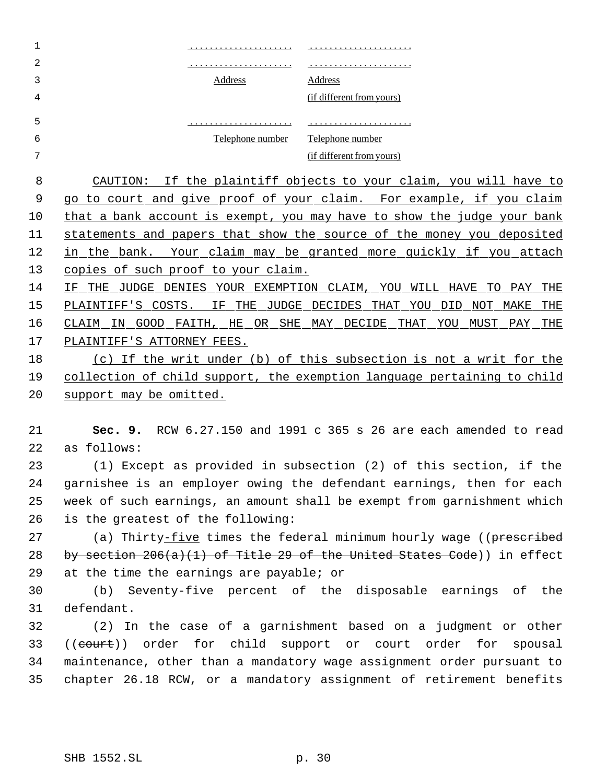| 1  |                                                            |                                                                          |
|----|------------------------------------------------------------|--------------------------------------------------------------------------|
| 2  |                                                            |                                                                          |
| 3  | Address                                                    | Address                                                                  |
| 4  |                                                            | (if different from yours)                                                |
| 5  |                                                            |                                                                          |
| 6  | Telephone number                                           | Telephone number                                                         |
| 7  |                                                            | (if different from yours)                                                |
| 8  |                                                            | CAUTION: If the plaintiff objects to your claim, you will have to        |
| 9  |                                                            | go to court and give proof of your claim. For example, if you claim      |
| 10 |                                                            | that a bank account is exempt, you may have to show the judge your bank  |
| 11 |                                                            | statements and papers that show the source of the money you deposited    |
| 12 |                                                            | in the bank. Your claim may be granted more quickly if you attach        |
| 13 | copies of such proof to your claim.                        |                                                                          |
| 14 | IF THE JUDGE DENIES YOUR EXEMPTION CLAIM, YOU WILL HAVE TO | PAY<br>THE                                                               |
| 15 | PLAINTIFF'S COSTS. IF THE JUDGE DECIDES THAT YOU DID       | NOT MAKE<br>THE                                                          |
| 16 |                                                            | CLAIM IN GOOD FAITH, HE OR SHE MAY DECIDE THAT YOU MUST PAY<br>THE       |
| 17 | PLAINTIFF'S ATTORNEY FEES.                                 |                                                                          |
| 18 |                                                            | (c) If the writ under (b) of this subsection is not a writ for the       |
| 19 |                                                            | collection of child support, the exemption language pertaining to child  |
| 20 | support may be omitted.                                    |                                                                          |
|    |                                                            |                                                                          |
| 21 |                                                            | Sec. 9. RCW 6.27.150 and 1991 c 365 s 26 are each amended to read        |
| 22 | as follows:                                                |                                                                          |
| 23 |                                                            | (1) Except as provided in subsection (2) of this section, if the         |
| 24 |                                                            | garnishee is an employer owing the defendant earnings, then for each     |
| 25 |                                                            | week of such earnings, an amount shall be exempt from garnishment which  |
| 26 | is the greatest of the following:                          |                                                                          |
| 27 |                                                            | (a) Thirty-five times the federal minimum hourly wage ((prescribed       |
| 28 |                                                            | by section $206(a)(1)$ of Title 29 of the United States Code)) in effect |
| 29 | at the time the earnings are payable; or                   |                                                                          |
| 30 |                                                            | (b) Seventy-five percent of the disposable earnings of the               |
| 31 | defendant.                                                 |                                                                          |
| 32 |                                                            | (2) In the case of a garnishment based on a judgment or other            |
| 33 | ((court)) order for child support or court order for       | spousal                                                                  |
| 34 |                                                            | maintenance, other than a mandatory wage assignment order pursuant to    |
| 35 |                                                            | chapter 26.18 RCW, or a mandatory assignment of retirement benefits      |
|    |                                                            |                                                                          |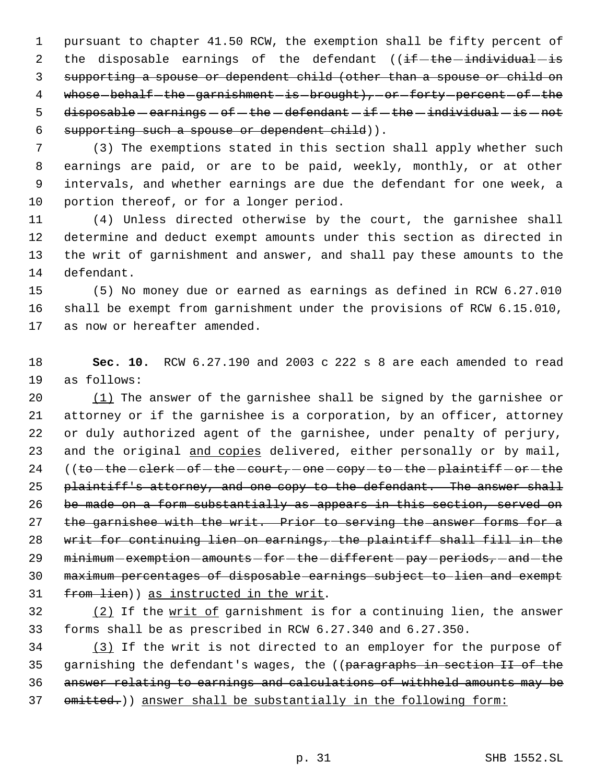pursuant to chapter 41.50 RCW, the exemption shall be fifty percent of 2 the disposable earnings of the defendant  $($  (if  $-$  the  $-$  individual  $-$  is supporting a spouse or dependent child (other than a spouse or child on 4 whose-behalf-the-garnishment-is-brought), or forty percent of the 5 disposable  $-$  earnings  $-$  of  $-$  the  $-$  defendant  $-$  if  $-$  the  $-$  individual  $-$  is  $-$  not supporting such a spouse or dependent child)).

 (3) The exemptions stated in this section shall apply whether such earnings are paid, or are to be paid, weekly, monthly, or at other intervals, and whether earnings are due the defendant for one week, a portion thereof, or for a longer period.

 (4) Unless directed otherwise by the court, the garnishee shall determine and deduct exempt amounts under this section as directed in the writ of garnishment and answer, and shall pay these amounts to the defendant.

 (5) No money due or earned as earnings as defined in RCW 6.27.010 shall be exempt from garnishment under the provisions of RCW 6.15.010, as now or hereafter amended.

 **Sec. 10.** RCW 6.27.190 and 2003 c 222 s 8 are each amended to read as follows:

 (1) The answer of the garnishee shall be signed by the garnishee or attorney or if the garnishee is a corporation, by an officer, attorney or duly authorized agent of the garnishee, under penalty of perjury, 23 and the original and copies delivered, either personally or by mail, 24 ((to-the -clerk -of-the -court, -one -copy -to-the -plaintiff -or -the 25 plaintiff's attorney, and one copy to the defendant. The answer shall 26 be made on a form substantially as appears in this section, served on 27 the garnishee with the writ. Prior to serving the answer forms for a writ for continuing lien on earnings, the plaintiff shall fill in the 29 minimum - exemption - amounts - for - the -different - pay - periods, - and - the maximum percentages of disposable earnings subject to lien and exempt 31 from lien)) as instructed in the writ.

 $\frac{12}{15}$  If the writ of garnishment is for a continuing lien, the answer forms shall be as prescribed in RCW 6.27.340 and 6.27.350.

 (3) If the writ is not directed to an employer for the purpose of 35 garnishing the defendant's wages, the ((paragraphs in section II of the answer relating to earnings and calculations of withheld amounts may be 37 omitted.)) answer shall be substantially in the following form: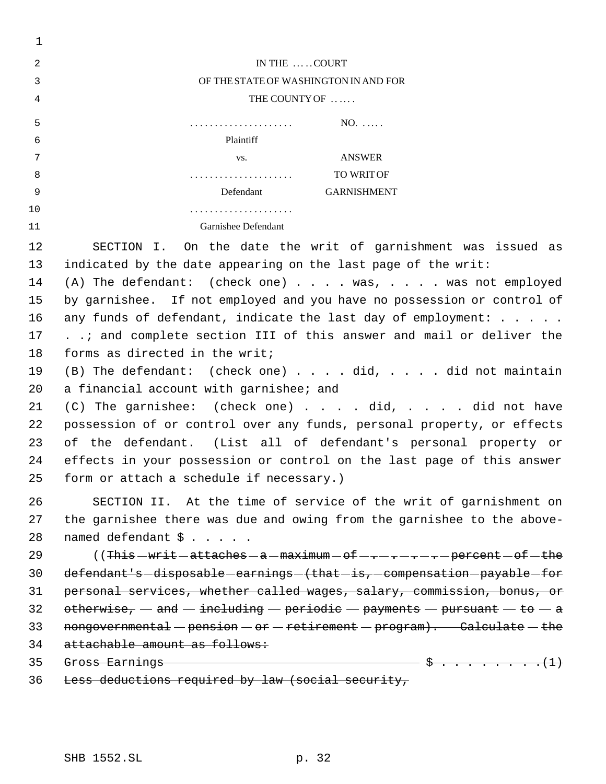| 1   |                                                                                      |  |  |
|-----|--------------------------------------------------------------------------------------|--|--|
| 2   | IN THE  COURT                                                                        |  |  |
| 3   | OF THE STATE OF WASHINGTON IN AND FOR                                                |  |  |
| 4   | THE COUNTY OF                                                                        |  |  |
| 5   | $NO.$                                                                                |  |  |
| 6   | Plaintiff                                                                            |  |  |
| 7   | ANSWER<br>VS.                                                                        |  |  |
| 8   | TO WRIT OF                                                                           |  |  |
| - 9 | Defendant<br><b>GARNISHMENT</b>                                                      |  |  |
| 10  | .                                                                                    |  |  |
| 11  | Garnishee Defendant                                                                  |  |  |
| 12  | SECTION I. On the date the writ of garnishment was issued as                         |  |  |
| 13  | indicated by the date appearing on the last page of the writ:                        |  |  |
| 14  | (A) The defendant: (check one) was, was not employed                                 |  |  |
| 15  | by garnishee. If not employed and you have no possession or control of               |  |  |
| 16  | any funds of defendant, indicate the last day of employment: $\ldots$ .              |  |  |
| 17  | and complete section III of this answer and mail or deliver the                      |  |  |
| 18  | forms as directed in the writ;                                                       |  |  |
| 19  | $(B)$ The defendant: (check one) did, did not maintain                               |  |  |
| 20  | a financial account with garnishee; and                                              |  |  |
| 21  | (C) The garnishee: (check one) did, did not have                                     |  |  |
| 22  | possession of or control over any funds, personal property, or effects               |  |  |
| 23  | of the defendant. (List all of defendant's personal property or                      |  |  |
| 24  | effects in your possession or control on the last page of this answer                |  |  |
| 25  | form or attach a schedule if necessary.)                                             |  |  |
| 26  | SECTION II. At the time of service of the writ of garnishment on                     |  |  |
| 27  | the garnishee there was due and owing from the garnishee to the above-               |  |  |
| 28  | named defendant \$                                                                   |  |  |
| 29  | ((This-writ-attaches-a-maximum-of----------percent-of-the                            |  |  |
| 30  | defendant's-disposable-earnings-(that-is,-compensation-payable-for                   |  |  |
| 31  | personal services, whether called wages, salary, commission, bonus, or               |  |  |
| 32  | otherwise, $-$ and $-$ including $-$ periodic $-$ payments $-$ pursuant $-$ to $-$ a |  |  |
| 33  | nongovernmental - pension - or - retirement - program). Calculate - the              |  |  |
| 34  | attachable amount as follows:                                                        |  |  |
| 35  | Gross Earnings $\cdots$ (1)                                                          |  |  |
| 36  | Less deductions required by law (social security,                                    |  |  |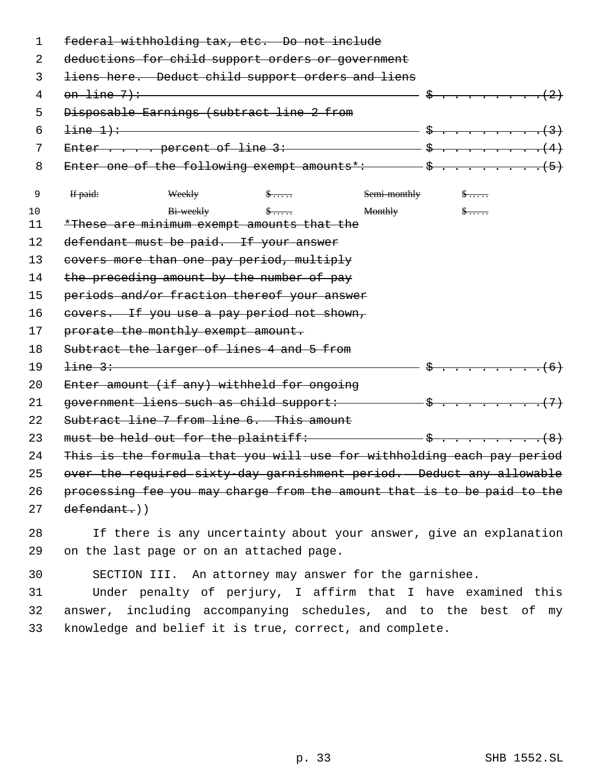| 1  | federal withholding tax, etc. Do not include                                    |                                 |  |
|----|---------------------------------------------------------------------------------|---------------------------------|--|
| 2  | deductions for child support orders or government                               |                                 |  |
| 3  | liens here. Deduct child support orders and liens                               |                                 |  |
| 4  | on line 7): $(2)$                                                               |                                 |  |
| 5  | Disposable Earnings (subtract line 2 from                                       |                                 |  |
| 6  | $line 1)$ : $(3)$                                                               |                                 |  |
| 7  | Enter $\cdots$ percent of line 3: $\cdots$ $\frac{1}{2}$ $\cdots$ $\frac{1}{2}$ |                                 |  |
| 8  |                                                                                 |                                 |  |
| 9  | $\oint \ldots$<br>If paid:<br>Weekly                                            | $Semi-monthly$ $\$\ldots$ .     |  |
| 10 | $Bi-weakly$ $\frac{1}{2}$ $\cdots$                                              | $\frac{1}{2}$<br><b>Monthly</b> |  |
| 11 | *These are minimum exempt amounts that the                                      |                                 |  |
| 12 | defendant must be paid. If your answer                                          |                                 |  |
| 13 | covers more than one pay period, multiply                                       |                                 |  |
| 14 | the preceding amount by the number of pay                                       |                                 |  |
| 15 | periods and/or fraction thereof your answer                                     |                                 |  |
| 16 | covers. If you use a pay period not shown,                                      |                                 |  |
| 17 | prorate the monthly exempt amount.                                              |                                 |  |
| 18 | Subtract the larger of lines 4 and 5 from                                       |                                 |  |
| 19 | line 3:                                                                         |                                 |  |
| 20 | Enter amount (if any) withheld for ongoing                                      |                                 |  |
| 21 |                                                                                 |                                 |  |
| 22 | Subtract line 7 from line 6. This amount                                        |                                 |  |
| 23 |                                                                                 |                                 |  |
| 24 | This is the formula that you will use for withholding each pay period           |                                 |  |
| 25 | over the required sixty-day garnishment period. Deduct any allowable            |                                 |  |
| 26 | processing fee you may charge from the amount that is to be paid to the         |                                 |  |
| 27 | $defendant.)$ )                                                                 |                                 |  |
| 28 | If there is any uncertainty about your answer, give an explanation              |                                 |  |
| 29 | on the last page or on an attached page.                                        |                                 |  |
| 30 | SECTION III. An attorney may answer for the garnishee.                          |                                 |  |
| 31 | Under penalty of perjury, I affirm that I have examined this                    |                                 |  |
| 32 | answer, including accompanying schedules, and to the best of my                 |                                 |  |

33 knowledge and belief it is true, correct, and complete.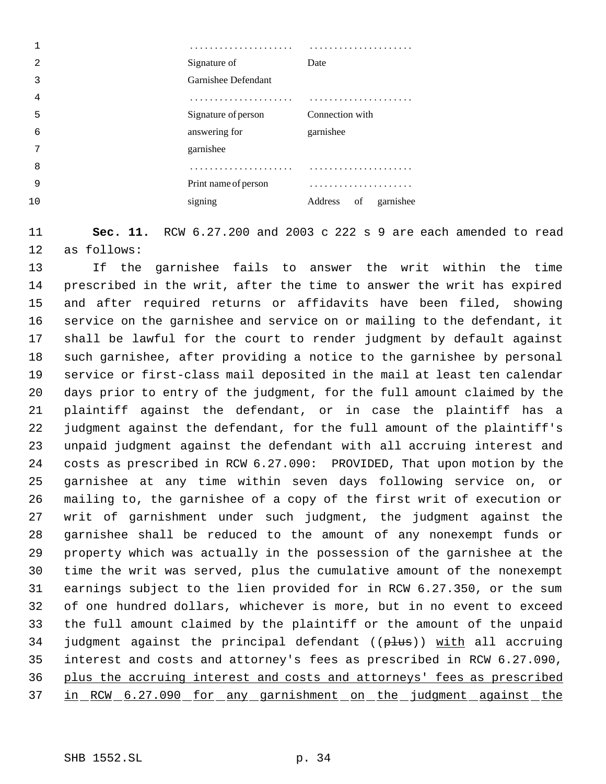| 2  | Signature of         | Date                       |
|----|----------------------|----------------------------|
| 3  | Garnishee Defendant  |                            |
| 4  |                      | .                          |
| 5  | Signature of person  | Connection with            |
| 6  | answering for        | garnishee                  |
| 7  | garnishee            |                            |
| 8  |                      |                            |
| 9  | Print name of person |                            |
| 10 | signing              | Address<br>of<br>garnishee |
|    |                      |                            |

 **Sec. 11.** RCW 6.27.200 and 2003 c 222 s 9 are each amended to read as follows:

 If the garnishee fails to answer the writ within the time prescribed in the writ, after the time to answer the writ has expired and after required returns or affidavits have been filed, showing service on the garnishee and service on or mailing to the defendant, it shall be lawful for the court to render judgment by default against such garnishee, after providing a notice to the garnishee by personal service or first-class mail deposited in the mail at least ten calendar days prior to entry of the judgment, for the full amount claimed by the plaintiff against the defendant, or in case the plaintiff has a judgment against the defendant, for the full amount of the plaintiff's unpaid judgment against the defendant with all accruing interest and costs as prescribed in RCW 6.27.090: PROVIDED, That upon motion by the garnishee at any time within seven days following service on, or mailing to, the garnishee of a copy of the first writ of execution or writ of garnishment under such judgment, the judgment against the garnishee shall be reduced to the amount of any nonexempt funds or property which was actually in the possession of the garnishee at the time the writ was served, plus the cumulative amount of the nonexempt earnings subject to the lien provided for in RCW 6.27.350, or the sum of one hundred dollars, whichever is more, but in no event to exceed the full amount claimed by the plaintiff or the amount of the unpaid 34 judgment against the principal defendant ((plus)) with all accruing interest and costs and attorney's fees as prescribed in RCW 6.27.090, plus the accruing interest and costs and attorneys' fees as prescribed 37 in RCW 6.27.090 for any garnishment on the judgment against the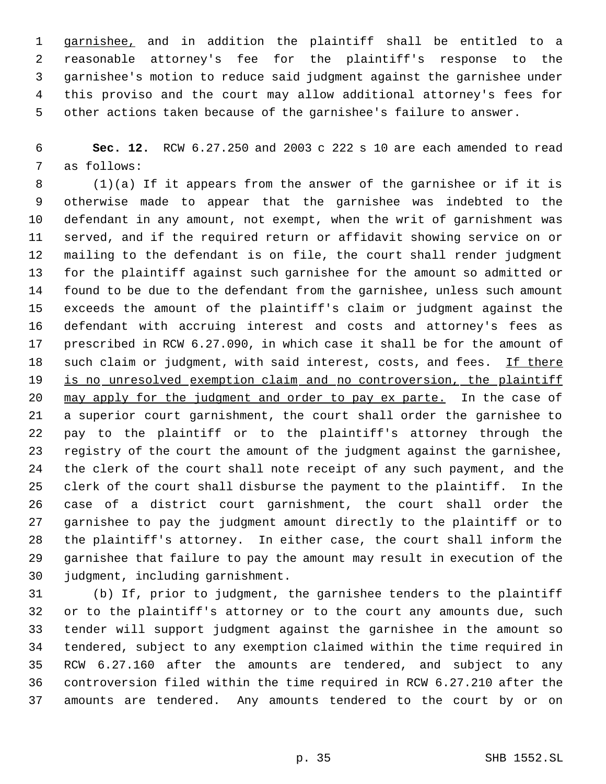garnishee, and in addition the plaintiff shall be entitled to a reasonable attorney's fee for the plaintiff's response to the garnishee's motion to reduce said judgment against the garnishee under this proviso and the court may allow additional attorney's fees for other actions taken because of the garnishee's failure to answer.

 **Sec. 12.** RCW 6.27.250 and 2003 c 222 s 10 are each amended to read as follows:

 (1)(a) If it appears from the answer of the garnishee or if it is otherwise made to appear that the garnishee was indebted to the defendant in any amount, not exempt, when the writ of garnishment was served, and if the required return or affidavit showing service on or mailing to the defendant is on file, the court shall render judgment for the plaintiff against such garnishee for the amount so admitted or found to be due to the defendant from the garnishee, unless such amount exceeds the amount of the plaintiff's claim or judgment against the defendant with accruing interest and costs and attorney's fees as prescribed in RCW 6.27.090, in which case it shall be for the amount of 18 such claim or judgment, with said interest, costs, and fees. If there 19 is no unresolved exemption claim and no controversion, the plaintiff may apply for the judgment and order to pay ex parte. In the case of a superior court garnishment, the court shall order the garnishee to pay to the plaintiff or to the plaintiff's attorney through the registry of the court the amount of the judgment against the garnishee, the clerk of the court shall note receipt of any such payment, and the clerk of the court shall disburse the payment to the plaintiff. In the case of a district court garnishment, the court shall order the garnishee to pay the judgment amount directly to the plaintiff or to the plaintiff's attorney. In either case, the court shall inform the garnishee that failure to pay the amount may result in execution of the judgment, including garnishment.

 (b) If, prior to judgment, the garnishee tenders to the plaintiff or to the plaintiff's attorney or to the court any amounts due, such tender will support judgment against the garnishee in the amount so tendered, subject to any exemption claimed within the time required in RCW 6.27.160 after the amounts are tendered, and subject to any controversion filed within the time required in RCW 6.27.210 after the amounts are tendered. Any amounts tendered to the court by or on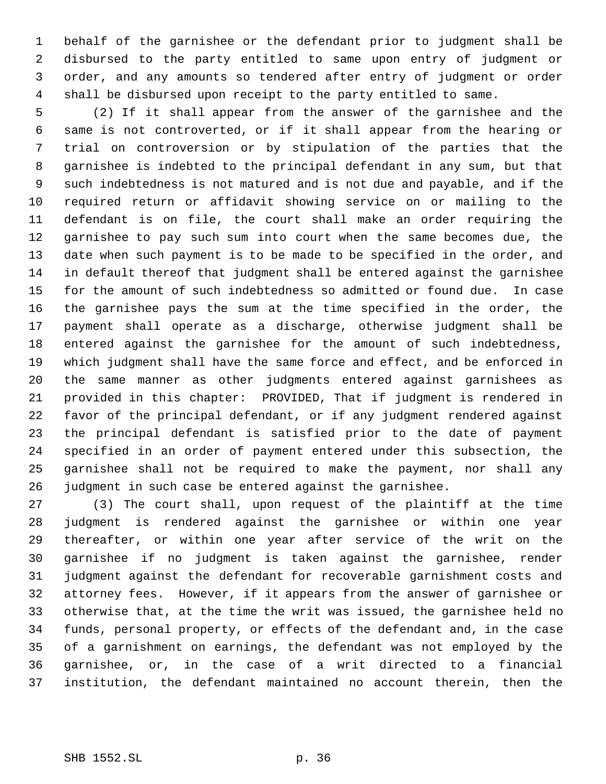behalf of the garnishee or the defendant prior to judgment shall be disbursed to the party entitled to same upon entry of judgment or order, and any amounts so tendered after entry of judgment or order shall be disbursed upon receipt to the party entitled to same.

 (2) If it shall appear from the answer of the garnishee and the same is not controverted, or if it shall appear from the hearing or trial on controversion or by stipulation of the parties that the garnishee is indebted to the principal defendant in any sum, but that such indebtedness is not matured and is not due and payable, and if the required return or affidavit showing service on or mailing to the defendant is on file, the court shall make an order requiring the garnishee to pay such sum into court when the same becomes due, the date when such payment is to be made to be specified in the order, and in default thereof that judgment shall be entered against the garnishee for the amount of such indebtedness so admitted or found due. In case the garnishee pays the sum at the time specified in the order, the payment shall operate as a discharge, otherwise judgment shall be entered against the garnishee for the amount of such indebtedness, which judgment shall have the same force and effect, and be enforced in the same manner as other judgments entered against garnishees as provided in this chapter: PROVIDED, That if judgment is rendered in favor of the principal defendant, or if any judgment rendered against the principal defendant is satisfied prior to the date of payment specified in an order of payment entered under this subsection, the garnishee shall not be required to make the payment, nor shall any judgment in such case be entered against the garnishee.

 (3) The court shall, upon request of the plaintiff at the time judgment is rendered against the garnishee or within one year thereafter, or within one year after service of the writ on the garnishee if no judgment is taken against the garnishee, render judgment against the defendant for recoverable garnishment costs and attorney fees. However, if it appears from the answer of garnishee or otherwise that, at the time the writ was issued, the garnishee held no funds, personal property, or effects of the defendant and, in the case of a garnishment on earnings, the defendant was not employed by the garnishee, or, in the case of a writ directed to a financial institution, the defendant maintained no account therein, then the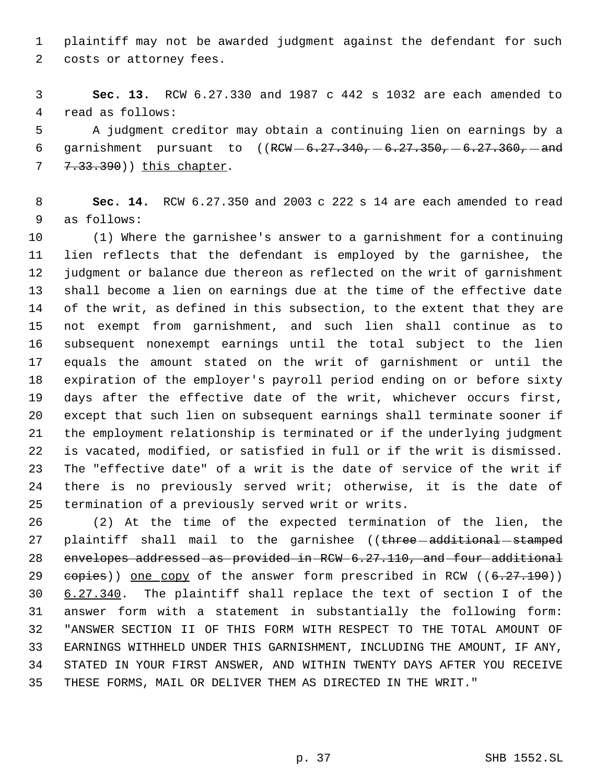plaintiff may not be awarded judgment against the defendant for such costs or attorney fees.

 **Sec. 13.** RCW 6.27.330 and 1987 c 442 s 1032 are each amended to read as follows:

 A judgment creditor may obtain a continuing lien on earnings by a 6 garnishment pursuant to  $((RCW - 6.27.340, -6.27.350, -6.27.360, -and$ 7 7.33.390)) this chapter.

 **Sec. 14.** RCW 6.27.350 and 2003 c 222 s 14 are each amended to read as follows:

 (1) Where the garnishee's answer to a garnishment for a continuing lien reflects that the defendant is employed by the garnishee, the judgment or balance due thereon as reflected on the writ of garnishment shall become a lien on earnings due at the time of the effective date of the writ, as defined in this subsection, to the extent that they are not exempt from garnishment, and such lien shall continue as to subsequent nonexempt earnings until the total subject to the lien equals the amount stated on the writ of garnishment or until the expiration of the employer's payroll period ending on or before sixty days after the effective date of the writ, whichever occurs first, except that such lien on subsequent earnings shall terminate sooner if the employment relationship is terminated or if the underlying judgment is vacated, modified, or satisfied in full or if the writ is dismissed. The "effective date" of a writ is the date of service of the writ if there is no previously served writ; otherwise, it is the date of termination of a previously served writ or writs.

 (2) At the time of the expected termination of the lien, the 27 plaintiff shall mail to the garnishee ((three additional stamped envelopes addressed as provided in RCW 6.27.110, and four additional  $e$ opies)) one copy of the answer form prescribed in RCW ( $(6.27.190)$ ) 6.27.340. The plaintiff shall replace the text of section I of the answer form with a statement in substantially the following form: "ANSWER SECTION II OF THIS FORM WITH RESPECT TO THE TOTAL AMOUNT OF EARNINGS WITHHELD UNDER THIS GARNISHMENT, INCLUDING THE AMOUNT, IF ANY, STATED IN YOUR FIRST ANSWER, AND WITHIN TWENTY DAYS AFTER YOU RECEIVE THESE FORMS, MAIL OR DELIVER THEM AS DIRECTED IN THE WRIT."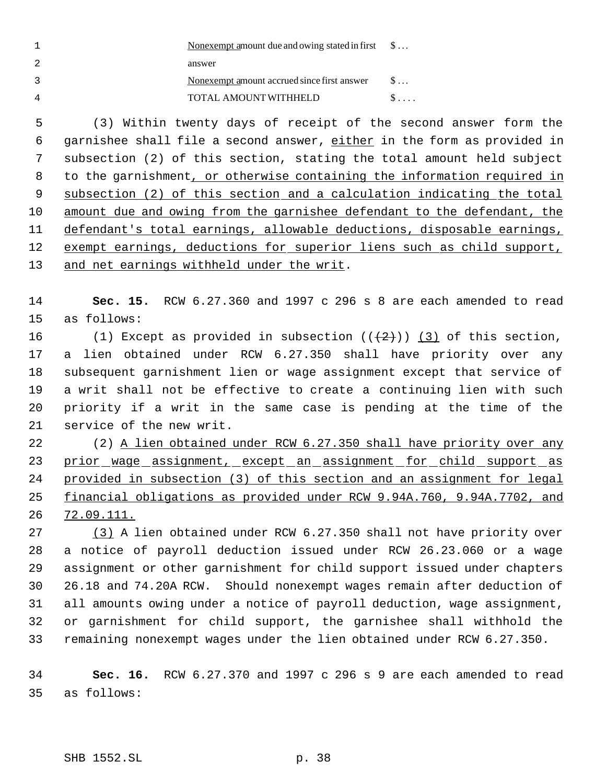| $\mathbf{1}$ | Nonexempt amount due and owing stated in first<br>$\$\ldots$            |
|--------------|-------------------------------------------------------------------------|
| 2            | answer                                                                  |
| 3            | Nonexempt amount accrued since first answer<br>$\mathsf{S} \dots$       |
| 4            | $\$\ldots$<br>TOTAL AMOUNT WITHHELD                                     |
| 5            | (3) Within twenty days of receipt of the second answer form the         |
| 6            | garnishee shall file a second answer, either in the form as provided in |
| 7            | subsection (2) of this section, stating the total amount held subject   |
| 8            | to the garnishment, or otherwise containing the information required in |
| 9            | subsection (2) of this section and a calculation indicating the total   |
| 10           | amount due and owing from the garnishee defendant to the defendant, the |
| 11           | defendant's total earnings, allowable deductions, disposable earnings,  |
| 12           | exempt earnings, deductions for superior liens such as child support,   |
| 13           | and net earnings withheld under the writ.                               |
|              |                                                                         |
| 14           | Sec. 15. RCW 6.27.360 and 1997 c 296 s 8 are each amended to read       |
| 15           | as follows:                                                             |
| 16           | (1) Except as provided in subsection $((+2)^2)$ (3) of this section,    |
| 17           | a lien obtained under RCW 6.27.350 shall have priority over any         |
| 18           | subsequent garnishment lien or wage assignment except that service of   |
| 19           | a writ shall not be effective to create a continuing lien with such     |
| 20           | priority if a writ in the same case is pending at the time of the       |
| 21           | service of the new writ.                                                |
| 22           | (2) A lien obtained under RCW 6.27.350 shall have priority over any     |
| 23           | prior wage assignment, except an assignment for child support as        |
| 24           | provided in subsection (3) of this section and an assignment for legal  |
| 25           | financial obligations as provided under RCW 9.94A.760, 9.94A.7702, and  |
| 26           | 72.09.111.                                                              |
| 27           | (3) A lien obtained under RCW 6.27.350 shall not have priority over     |
| 28           | a notice of payroll deduction issued under RCW 26.23.060 or a wage      |
| 29           | assignment or other garnishment for child support issued under chapters |
| 30           | 26.18 and 74.20A RCW. Should nonexempt wages remain after deduction of  |
| 31           | all amounts owing under a notice of payroll deduction, wage assignment, |
| 32           | or garnishment for child support, the garnishee shall withhold the      |
| 33           | remaining nonexempt wages under the lien obtained under RCW 6.27.350.   |
| 34           | Sec. 16. RCW $6.27.370$ and 1997 c 296 s 9 are each amended to read     |
| 35           | as follows:                                                             |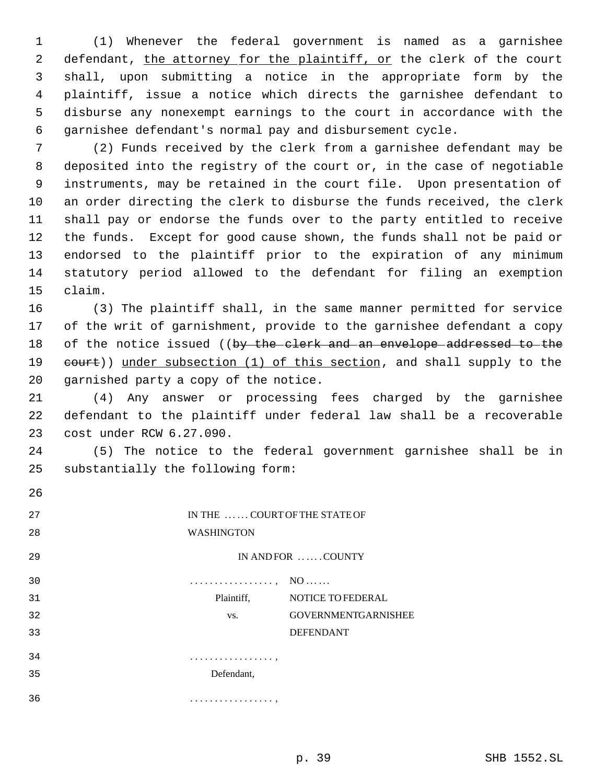(1) Whenever the federal government is named as a garnishee 2 defendant, the attorney for the plaintiff, or the clerk of the court shall, upon submitting a notice in the appropriate form by the plaintiff, issue a notice which directs the garnishee defendant to disburse any nonexempt earnings to the court in accordance with the garnishee defendant's normal pay and disbursement cycle.

 (2) Funds received by the clerk from a garnishee defendant may be deposited into the registry of the court or, in the case of negotiable instruments, may be retained in the court file. Upon presentation of an order directing the clerk to disburse the funds received, the clerk shall pay or endorse the funds over to the party entitled to receive the funds. Except for good cause shown, the funds shall not be paid or endorsed to the plaintiff prior to the expiration of any minimum statutory period allowed to the defendant for filing an exemption claim.

 (3) The plaintiff shall, in the same manner permitted for service of the writ of garnishment, provide to the garnishee defendant a copy 18 of the notice issued ((by the clerk and an envelope addressed to the 19 eourt)) under subsection (1) of this section, and shall supply to the garnished party a copy of the notice.

 (4) Any answer or processing fees charged by the garnishee defendant to the plaintiff under federal law shall be a recoverable cost under RCW 6.27.090.

 (5) The notice to the federal government garnishee shall be in substantially the following form:

| 26 |                                        |
|----|----------------------------------------|
| 27 | IN THE  COURT OF THE STATE OF          |
| 28 | <b>WASHINGTON</b>                      |
| 29 | IN AND FOR  COUNTY                     |
| 30 | .<br>$NO \dots \dots$                  |
| 31 | <b>NOTICE TO FEDERAL</b><br>Plaintiff, |
| 32 | <b>GOVERNMENTGARNISHEE</b><br>VS.      |
| 33 | <b>DEFENDANT</b>                       |
| 34 | . ,                                    |
| 35 | Defendant,                             |
| 36 | . <b>.</b>                             |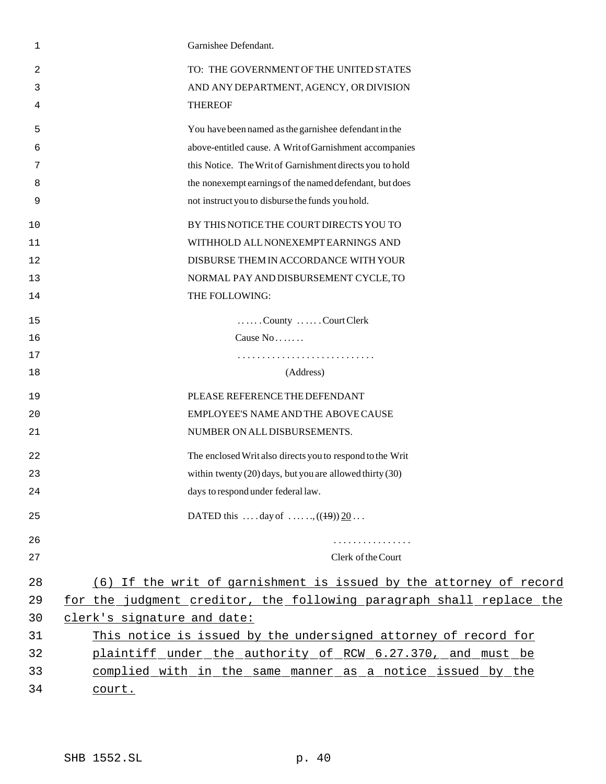| 1  | Garnishee Defendant.                                                 |
|----|----------------------------------------------------------------------|
| 2  | TO: THE GOVERNMENT OF THE UNITED STATES                              |
| 3  | AND ANY DEPARTMENT, AGENCY, OR DIVISION                              |
| 4  | <b>THEREOF</b>                                                       |
| 5  | You have been named as the garnishee defendant in the                |
| 6  | above-entitled cause. A WritofGarnishment accompanies                |
| 7  | this Notice. The Writ of Garnishment directs you to hold             |
| 8  | the nonexempt earnings of the named defendant, but does              |
| 9  | not instruct you to disburse the funds you hold.                     |
| 10 | BY THIS NOTICE THE COURT DIRECTS YOU TO                              |
| 11 | WITHHOLD ALL NONEXEMPT EARNINGS AND                                  |
| 12 | DISBURSE THEM IN ACCORDANCE WITH YOUR                                |
| 13 | NORMAL PAY AND DISBURSEMENT CYCLE, TO                                |
| 14 | THE FOLLOWING:                                                       |
| 15 | County Court Clerk                                                   |
| 16 | Cause No                                                             |
| 17 |                                                                      |
| 18 | (Address)                                                            |
| 19 | PLEASE REFERENCE THE DEFENDANT                                       |
| 20 | EMPLOYEE'S NAME AND THE ABOVE CAUSE                                  |
| 21 | NUMBER ON ALL DISBURSEMENTS.                                         |
| 22 | The enclosed Writ also directs you to respond to the Writ            |
| 23 | within twenty $(20)$ days, but you are allowed thirty $(30)$         |
| 24 | days to respond under federal law.                                   |
| 25 | DATED this  . day of , $((19)) 20$                                   |
| 26 | .                                                                    |
| 27 | Clerk of the Court                                                   |
| 28 | (6) If the writ of garnishment is issued by the attorney of record   |
| 29 | for the judgment creditor, the following paragraph shall replace the |
| 30 | clerk's signature and date:                                          |
| 31 | This notice is issued by the undersigned attorney of record for      |
| 32 | plaintiff under the authority of RCW 6.27.370, and must be           |
| 33 | complied with in the same manner as a notice issued by the           |
| 34 | court.                                                               |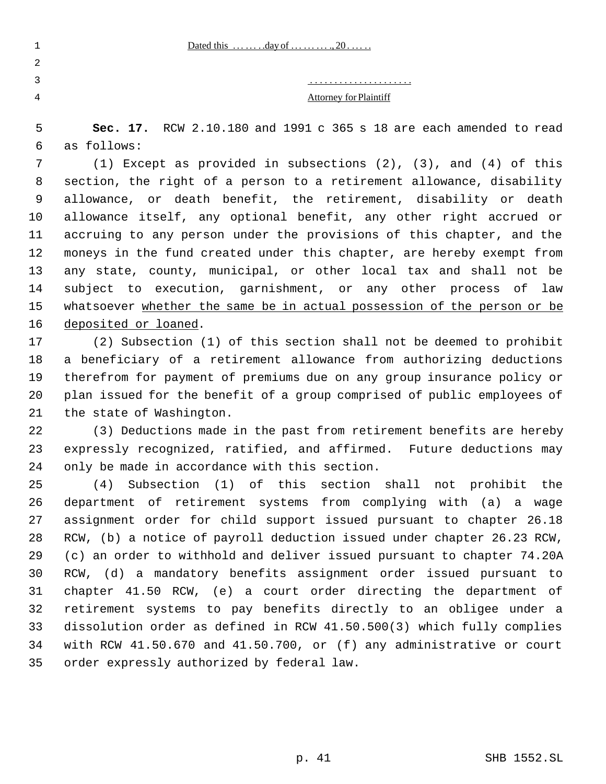. . . . . . . . . . . . . . . . . . . . .

Attorney for Plaintiff

 **Sec. 17.** RCW 2.10.180 and 1991 c 365 s 18 are each amended to read as follows:

 (1) Except as provided in subsections (2), (3), and (4) of this section, the right of a person to a retirement allowance, disability allowance, or death benefit, the retirement, disability or death allowance itself, any optional benefit, any other right accrued or accruing to any person under the provisions of this chapter, and the moneys in the fund created under this chapter, are hereby exempt from any state, county, municipal, or other local tax and shall not be subject to execution, garnishment, or any other process of law 15 whatsoever whether the same be in actual possession of the person or be deposited or loaned.

 (2) Subsection (1) of this section shall not be deemed to prohibit a beneficiary of a retirement allowance from authorizing deductions therefrom for payment of premiums due on any group insurance policy or plan issued for the benefit of a group comprised of public employees of the state of Washington.

 (3) Deductions made in the past from retirement benefits are hereby expressly recognized, ratified, and affirmed. Future deductions may only be made in accordance with this section.

 (4) Subsection (1) of this section shall not prohibit the department of retirement systems from complying with (a) a wage assignment order for child support issued pursuant to chapter 26.18 RCW, (b) a notice of payroll deduction issued under chapter 26.23 RCW, (c) an order to withhold and deliver issued pursuant to chapter 74.20A RCW, (d) a mandatory benefits assignment order issued pursuant to chapter 41.50 RCW, (e) a court order directing the department of retirement systems to pay benefits directly to an obligee under a dissolution order as defined in RCW 41.50.500(3) which fully complies with RCW 41.50.670 and 41.50.700, or (f) any administrative or court order expressly authorized by federal law.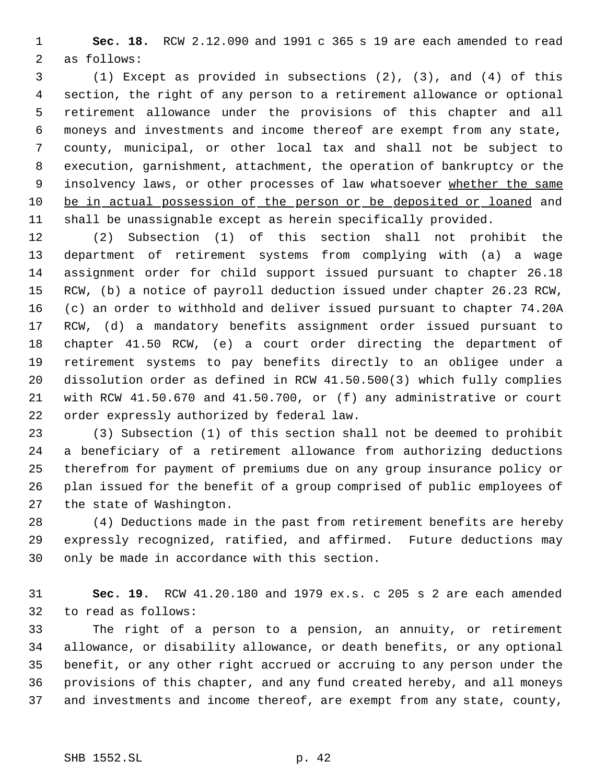**Sec. 18.** RCW 2.12.090 and 1991 c 365 s 19 are each amended to read as follows:

 (1) Except as provided in subsections (2), (3), and (4) of this section, the right of any person to a retirement allowance or optional retirement allowance under the provisions of this chapter and all moneys and investments and income thereof are exempt from any state, county, municipal, or other local tax and shall not be subject to execution, garnishment, attachment, the operation of bankruptcy or the 9 insolvency laws, or other processes of law whatsoever whether the same 10 be in actual possession of the person or be deposited or loaned and shall be unassignable except as herein specifically provided.

 (2) Subsection (1) of this section shall not prohibit the department of retirement systems from complying with (a) a wage assignment order for child support issued pursuant to chapter 26.18 RCW, (b) a notice of payroll deduction issued under chapter 26.23 RCW, (c) an order to withhold and deliver issued pursuant to chapter 74.20A RCW, (d) a mandatory benefits assignment order issued pursuant to chapter 41.50 RCW, (e) a court order directing the department of retirement systems to pay benefits directly to an obligee under a dissolution order as defined in RCW 41.50.500(3) which fully complies with RCW 41.50.670 and 41.50.700, or (f) any administrative or court order expressly authorized by federal law.

 (3) Subsection (1) of this section shall not be deemed to prohibit a beneficiary of a retirement allowance from authorizing deductions therefrom for payment of premiums due on any group insurance policy or plan issued for the benefit of a group comprised of public employees of the state of Washington.

 (4) Deductions made in the past from retirement benefits are hereby expressly recognized, ratified, and affirmed. Future deductions may only be made in accordance with this section.

 **Sec. 19.** RCW 41.20.180 and 1979 ex.s. c 205 s 2 are each amended to read as follows:

 The right of a person to a pension, an annuity, or retirement allowance, or disability allowance, or death benefits, or any optional benefit, or any other right accrued or accruing to any person under the provisions of this chapter, and any fund created hereby, and all moneys and investments and income thereof, are exempt from any state, county,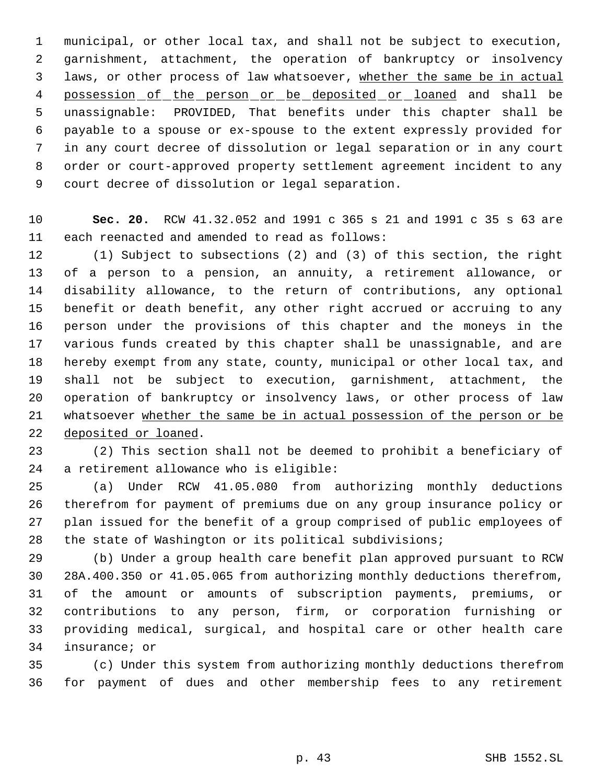municipal, or other local tax, and shall not be subject to execution, garnishment, attachment, the operation of bankruptcy or insolvency 3 laws, or other process of law whatsoever, whether the same be in actual 4 possession of the person or be deposited or loaned and shall be unassignable: PROVIDED, That benefits under this chapter shall be payable to a spouse or ex-spouse to the extent expressly provided for in any court decree of dissolution or legal separation or in any court order or court-approved property settlement agreement incident to any court decree of dissolution or legal separation.

 **Sec. 20.** RCW 41.32.052 and 1991 c 365 s 21 and 1991 c 35 s 63 are each reenacted and amended to read as follows:

 (1) Subject to subsections (2) and (3) of this section, the right of a person to a pension, an annuity, a retirement allowance, or disability allowance, to the return of contributions, any optional benefit or death benefit, any other right accrued or accruing to any person under the provisions of this chapter and the moneys in the various funds created by this chapter shall be unassignable, and are hereby exempt from any state, county, municipal or other local tax, and shall not be subject to execution, garnishment, attachment, the operation of bankruptcy or insolvency laws, or other process of law whatsoever whether the same be in actual possession of the person or be deposited or loaned.

 (2) This section shall not be deemed to prohibit a beneficiary of a retirement allowance who is eligible:

 (a) Under RCW 41.05.080 from authorizing monthly deductions therefrom for payment of premiums due on any group insurance policy or plan issued for the benefit of a group comprised of public employees of the state of Washington or its political subdivisions;

 (b) Under a group health care benefit plan approved pursuant to RCW 28A.400.350 or 41.05.065 from authorizing monthly deductions therefrom, of the amount or amounts of subscription payments, premiums, or contributions to any person, firm, or corporation furnishing or providing medical, surgical, and hospital care or other health care insurance; or

 (c) Under this system from authorizing monthly deductions therefrom for payment of dues and other membership fees to any retirement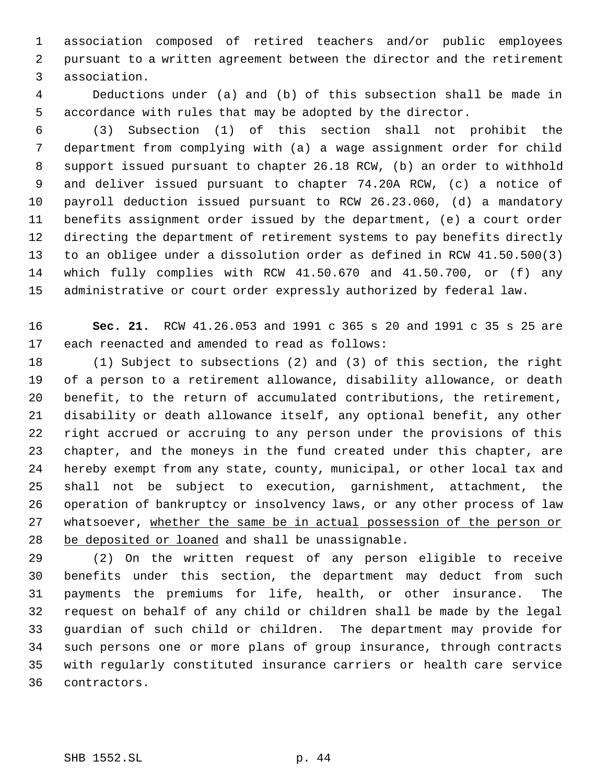association composed of retired teachers and/or public employees pursuant to a written agreement between the director and the retirement association.

 Deductions under (a) and (b) of this subsection shall be made in accordance with rules that may be adopted by the director.

 (3) Subsection (1) of this section shall not prohibit the department from complying with (a) a wage assignment order for child support issued pursuant to chapter 26.18 RCW, (b) an order to withhold and deliver issued pursuant to chapter 74.20A RCW, (c) a notice of payroll deduction issued pursuant to RCW 26.23.060, (d) a mandatory benefits assignment order issued by the department, (e) a court order directing the department of retirement systems to pay benefits directly to an obligee under a dissolution order as defined in RCW 41.50.500(3) which fully complies with RCW 41.50.670 and 41.50.700, or (f) any administrative or court order expressly authorized by federal law.

 **Sec. 21.** RCW 41.26.053 and 1991 c 365 s 20 and 1991 c 35 s 25 are each reenacted and amended to read as follows:

 (1) Subject to subsections (2) and (3) of this section, the right of a person to a retirement allowance, disability allowance, or death benefit, to the return of accumulated contributions, the retirement, disability or death allowance itself, any optional benefit, any other right accrued or accruing to any person under the provisions of this chapter, and the moneys in the fund created under this chapter, are hereby exempt from any state, county, municipal, or other local tax and shall not be subject to execution, garnishment, attachment, the operation of bankruptcy or insolvency laws, or any other process of law 27 whatsoever, whether the same be in actual possession of the person or be deposited or loaned and shall be unassignable.

 (2) On the written request of any person eligible to receive benefits under this section, the department may deduct from such payments the premiums for life, health, or other insurance. The request on behalf of any child or children shall be made by the legal guardian of such child or children. The department may provide for such persons one or more plans of group insurance, through contracts with regularly constituted insurance carriers or health care service contractors.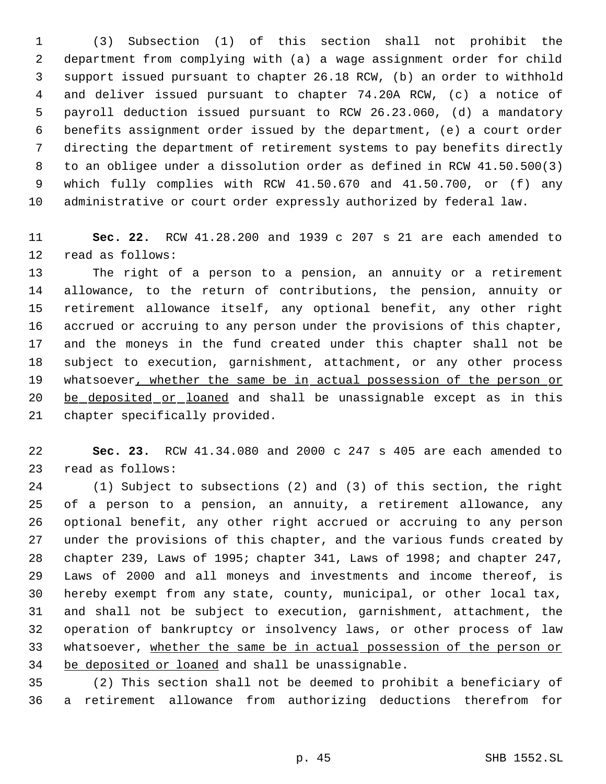(3) Subsection (1) of this section shall not prohibit the department from complying with (a) a wage assignment order for child support issued pursuant to chapter 26.18 RCW, (b) an order to withhold and deliver issued pursuant to chapter 74.20A RCW, (c) a notice of payroll deduction issued pursuant to RCW 26.23.060, (d) a mandatory benefits assignment order issued by the department, (e) a court order directing the department of retirement systems to pay benefits directly to an obligee under a dissolution order as defined in RCW 41.50.500(3) which fully complies with RCW 41.50.670 and 41.50.700, or (f) any administrative or court order expressly authorized by federal law.

 **Sec. 22.** RCW 41.28.200 and 1939 c 207 s 21 are each amended to read as follows:

 The right of a person to a pension, an annuity or a retirement allowance, to the return of contributions, the pension, annuity or retirement allowance itself, any optional benefit, any other right accrued or accruing to any person under the provisions of this chapter, and the moneys in the fund created under this chapter shall not be subject to execution, garnishment, attachment, or any other process 19 whatsoever, whether the same be in actual possession of the person or 20 be deposited or loaned and shall be unassignable except as in this chapter specifically provided.

 **Sec. 23.** RCW 41.34.080 and 2000 c 247 s 405 are each amended to read as follows:

 (1) Subject to subsections (2) and (3) of this section, the right of a person to a pension, an annuity, a retirement allowance, any optional benefit, any other right accrued or accruing to any person under the provisions of this chapter, and the various funds created by chapter 239, Laws of 1995; chapter 341, Laws of 1998; and chapter 247, Laws of 2000 and all moneys and investments and income thereof, is hereby exempt from any state, county, municipal, or other local tax, and shall not be subject to execution, garnishment, attachment, the operation of bankruptcy or insolvency laws, or other process of law whatsoever, whether the same be in actual possession of the person or be deposited or loaned and shall be unassignable.

 (2) This section shall not be deemed to prohibit a beneficiary of a retirement allowance from authorizing deductions therefrom for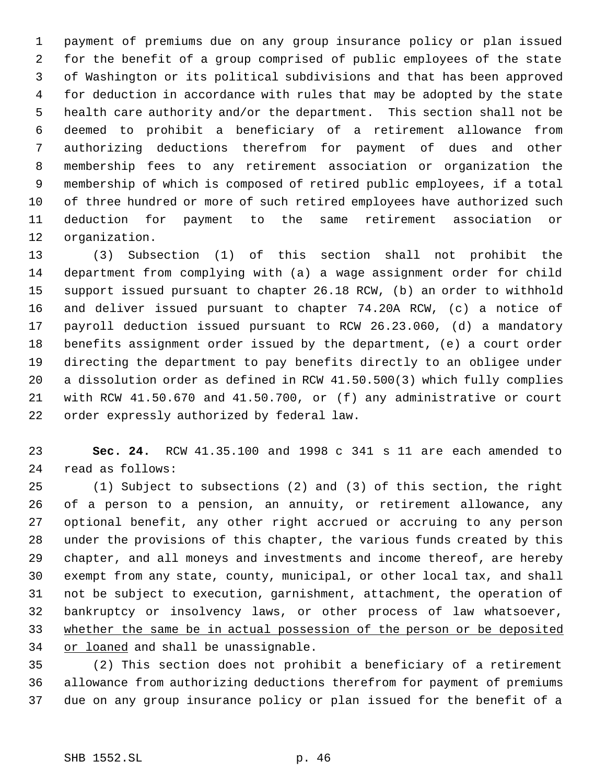payment of premiums due on any group insurance policy or plan issued for the benefit of a group comprised of public employees of the state of Washington or its political subdivisions and that has been approved for deduction in accordance with rules that may be adopted by the state health care authority and/or the department. This section shall not be deemed to prohibit a beneficiary of a retirement allowance from authorizing deductions therefrom for payment of dues and other membership fees to any retirement association or organization the membership of which is composed of retired public employees, if a total of three hundred or more of such retired employees have authorized such deduction for payment to the same retirement association or organization.

 (3) Subsection (1) of this section shall not prohibit the department from complying with (a) a wage assignment order for child support issued pursuant to chapter 26.18 RCW, (b) an order to withhold and deliver issued pursuant to chapter 74.20A RCW, (c) a notice of payroll deduction issued pursuant to RCW 26.23.060, (d) a mandatory benefits assignment order issued by the department, (e) a court order directing the department to pay benefits directly to an obligee under a dissolution order as defined in RCW 41.50.500(3) which fully complies with RCW 41.50.670 and 41.50.700, or (f) any administrative or court order expressly authorized by federal law.

 **Sec. 24.** RCW 41.35.100 and 1998 c 341 s 11 are each amended to read as follows:

 (1) Subject to subsections (2) and (3) of this section, the right of a person to a pension, an annuity, or retirement allowance, any optional benefit, any other right accrued or accruing to any person under the provisions of this chapter, the various funds created by this chapter, and all moneys and investments and income thereof, are hereby exempt from any state, county, municipal, or other local tax, and shall not be subject to execution, garnishment, attachment, the operation of bankruptcy or insolvency laws, or other process of law whatsoever, whether the same be in actual possession of the person or be deposited 34 or loaned and shall be unassignable.

 (2) This section does not prohibit a beneficiary of a retirement allowance from authorizing deductions therefrom for payment of premiums due on any group insurance policy or plan issued for the benefit of a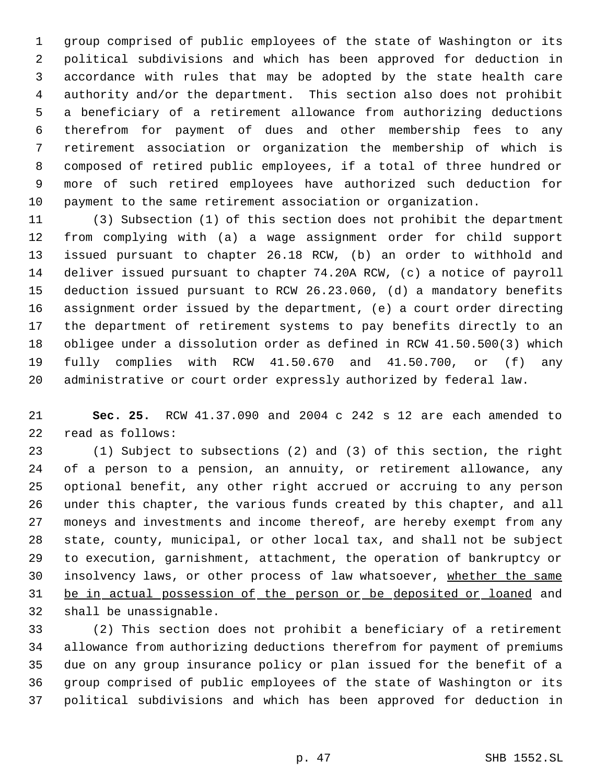group comprised of public employees of the state of Washington or its political subdivisions and which has been approved for deduction in accordance with rules that may be adopted by the state health care authority and/or the department. This section also does not prohibit a beneficiary of a retirement allowance from authorizing deductions therefrom for payment of dues and other membership fees to any retirement association or organization the membership of which is composed of retired public employees, if a total of three hundred or more of such retired employees have authorized such deduction for payment to the same retirement association or organization.

 (3) Subsection (1) of this section does not prohibit the department from complying with (a) a wage assignment order for child support issued pursuant to chapter 26.18 RCW, (b) an order to withhold and deliver issued pursuant to chapter 74.20A RCW, (c) a notice of payroll deduction issued pursuant to RCW 26.23.060, (d) a mandatory benefits assignment order issued by the department, (e) a court order directing the department of retirement systems to pay benefits directly to an obligee under a dissolution order as defined in RCW 41.50.500(3) which fully complies with RCW 41.50.670 and 41.50.700, or (f) any administrative or court order expressly authorized by federal law.

 **Sec. 25.** RCW 41.37.090 and 2004 c 242 s 12 are each amended to read as follows:

 (1) Subject to subsections (2) and (3) of this section, the right of a person to a pension, an annuity, or retirement allowance, any optional benefit, any other right accrued or accruing to any person under this chapter, the various funds created by this chapter, and all moneys and investments and income thereof, are hereby exempt from any state, county, municipal, or other local tax, and shall not be subject to execution, garnishment, attachment, the operation of bankruptcy or 30 insolvency laws, or other process of law whatsoever, whether the same 31 be in actual possession of the person or be deposited or loaned and shall be unassignable.

 (2) This section does not prohibit a beneficiary of a retirement allowance from authorizing deductions therefrom for payment of premiums due on any group insurance policy or plan issued for the benefit of a group comprised of public employees of the state of Washington or its political subdivisions and which has been approved for deduction in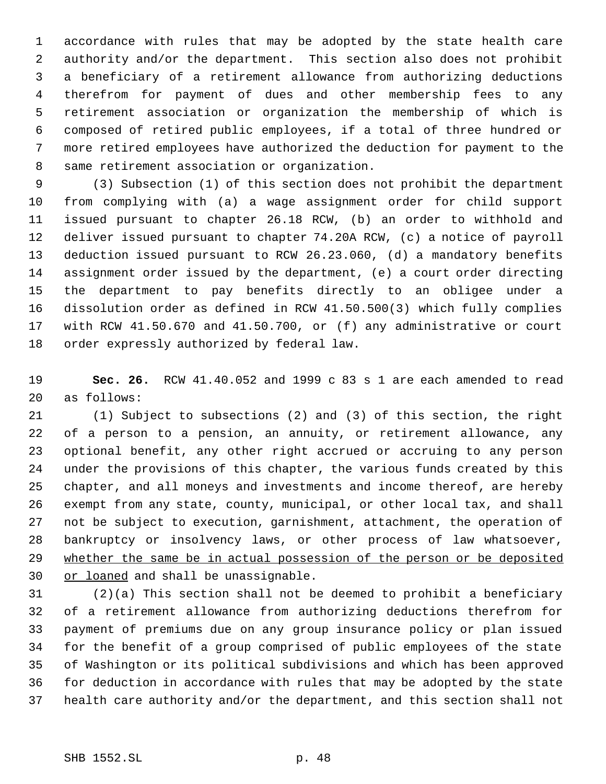accordance with rules that may be adopted by the state health care authority and/or the department. This section also does not prohibit a beneficiary of a retirement allowance from authorizing deductions therefrom for payment of dues and other membership fees to any retirement association or organization the membership of which is composed of retired public employees, if a total of three hundred or more retired employees have authorized the deduction for payment to the same retirement association or organization.

 (3) Subsection (1) of this section does not prohibit the department from complying with (a) a wage assignment order for child support issued pursuant to chapter 26.18 RCW, (b) an order to withhold and deliver issued pursuant to chapter 74.20A RCW, (c) a notice of payroll deduction issued pursuant to RCW 26.23.060, (d) a mandatory benefits assignment order issued by the department, (e) a court order directing the department to pay benefits directly to an obligee under a dissolution order as defined in RCW 41.50.500(3) which fully complies with RCW 41.50.670 and 41.50.700, or (f) any administrative or court order expressly authorized by federal law.

 **Sec. 26.** RCW 41.40.052 and 1999 c 83 s 1 are each amended to read as follows:

 (1) Subject to subsections (2) and (3) of this section, the right of a person to a pension, an annuity, or retirement allowance, any optional benefit, any other right accrued or accruing to any person under the provisions of this chapter, the various funds created by this chapter, and all moneys and investments and income thereof, are hereby exempt from any state, county, municipal, or other local tax, and shall not be subject to execution, garnishment, attachment, the operation of bankruptcy or insolvency laws, or other process of law whatsoever, whether the same be in actual possession of the person or be deposited 30 or loaned and shall be unassignable.

 (2)(a) This section shall not be deemed to prohibit a beneficiary of a retirement allowance from authorizing deductions therefrom for payment of premiums due on any group insurance policy or plan issued for the benefit of a group comprised of public employees of the state of Washington or its political subdivisions and which has been approved for deduction in accordance with rules that may be adopted by the state health care authority and/or the department, and this section shall not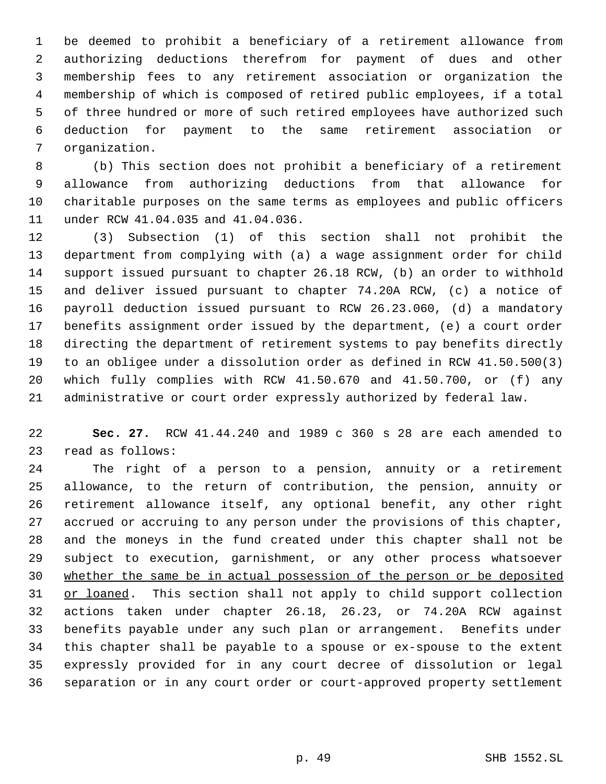be deemed to prohibit a beneficiary of a retirement allowance from authorizing deductions therefrom for payment of dues and other membership fees to any retirement association or organization the membership of which is composed of retired public employees, if a total of three hundred or more of such retired employees have authorized such deduction for payment to the same retirement association or organization.

 (b) This section does not prohibit a beneficiary of a retirement allowance from authorizing deductions from that allowance for charitable purposes on the same terms as employees and public officers under RCW 41.04.035 and 41.04.036.

 (3) Subsection (1) of this section shall not prohibit the department from complying with (a) a wage assignment order for child support issued pursuant to chapter 26.18 RCW, (b) an order to withhold and deliver issued pursuant to chapter 74.20A RCW, (c) a notice of payroll deduction issued pursuant to RCW 26.23.060, (d) a mandatory benefits assignment order issued by the department, (e) a court order directing the department of retirement systems to pay benefits directly to an obligee under a dissolution order as defined in RCW 41.50.500(3) which fully complies with RCW 41.50.670 and 41.50.700, or (f) any administrative or court order expressly authorized by federal law.

 **Sec. 27.** RCW 41.44.240 and 1989 c 360 s 28 are each amended to read as follows:

 The right of a person to a pension, annuity or a retirement allowance, to the return of contribution, the pension, annuity or retirement allowance itself, any optional benefit, any other right accrued or accruing to any person under the provisions of this chapter, and the moneys in the fund created under this chapter shall not be subject to execution, garnishment, or any other process whatsoever whether the same be in actual possession of the person or be deposited 31 or loaned. This section shall not apply to child support collection actions taken under chapter 26.18, 26.23, or 74.20A RCW against benefits payable under any such plan or arrangement. Benefits under this chapter shall be payable to a spouse or ex-spouse to the extent expressly provided for in any court decree of dissolution or legal separation or in any court order or court-approved property settlement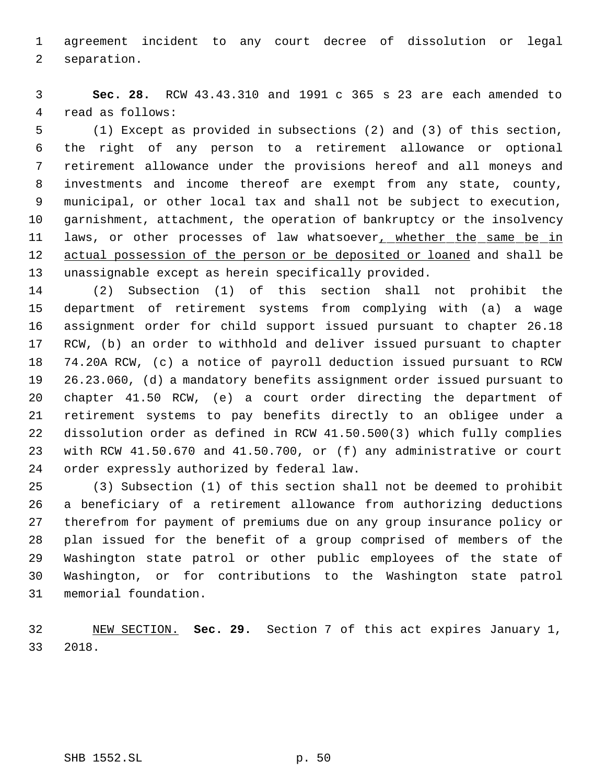agreement incident to any court decree of dissolution or legal separation.

 **Sec. 28.** RCW 43.43.310 and 1991 c 365 s 23 are each amended to read as follows:

 (1) Except as provided in subsections (2) and (3) of this section, the right of any person to a retirement allowance or optional retirement allowance under the provisions hereof and all moneys and investments and income thereof are exempt from any state, county, municipal, or other local tax and shall not be subject to execution, garnishment, attachment, the operation of bankruptcy or the insolvency 11 laws, or other processes of law whatsoever, whether the same be in 12 actual possession of the person or be deposited or loaned and shall be unassignable except as herein specifically provided.

 (2) Subsection (1) of this section shall not prohibit the department of retirement systems from complying with (a) a wage assignment order for child support issued pursuant to chapter 26.18 RCW, (b) an order to withhold and deliver issued pursuant to chapter 74.20A RCW, (c) a notice of payroll deduction issued pursuant to RCW 26.23.060, (d) a mandatory benefits assignment order issued pursuant to chapter 41.50 RCW, (e) a court order directing the department of retirement systems to pay benefits directly to an obligee under a dissolution order as defined in RCW 41.50.500(3) which fully complies with RCW 41.50.670 and 41.50.700, or (f) any administrative or court order expressly authorized by federal law.

 (3) Subsection (1) of this section shall not be deemed to prohibit a beneficiary of a retirement allowance from authorizing deductions therefrom for payment of premiums due on any group insurance policy or plan issued for the benefit of a group comprised of members of the Washington state patrol or other public employees of the state of Washington, or for contributions to the Washington state patrol memorial foundation.

 NEW SECTION. **Sec. 29.** Section 7 of this act expires January 1, 2018.